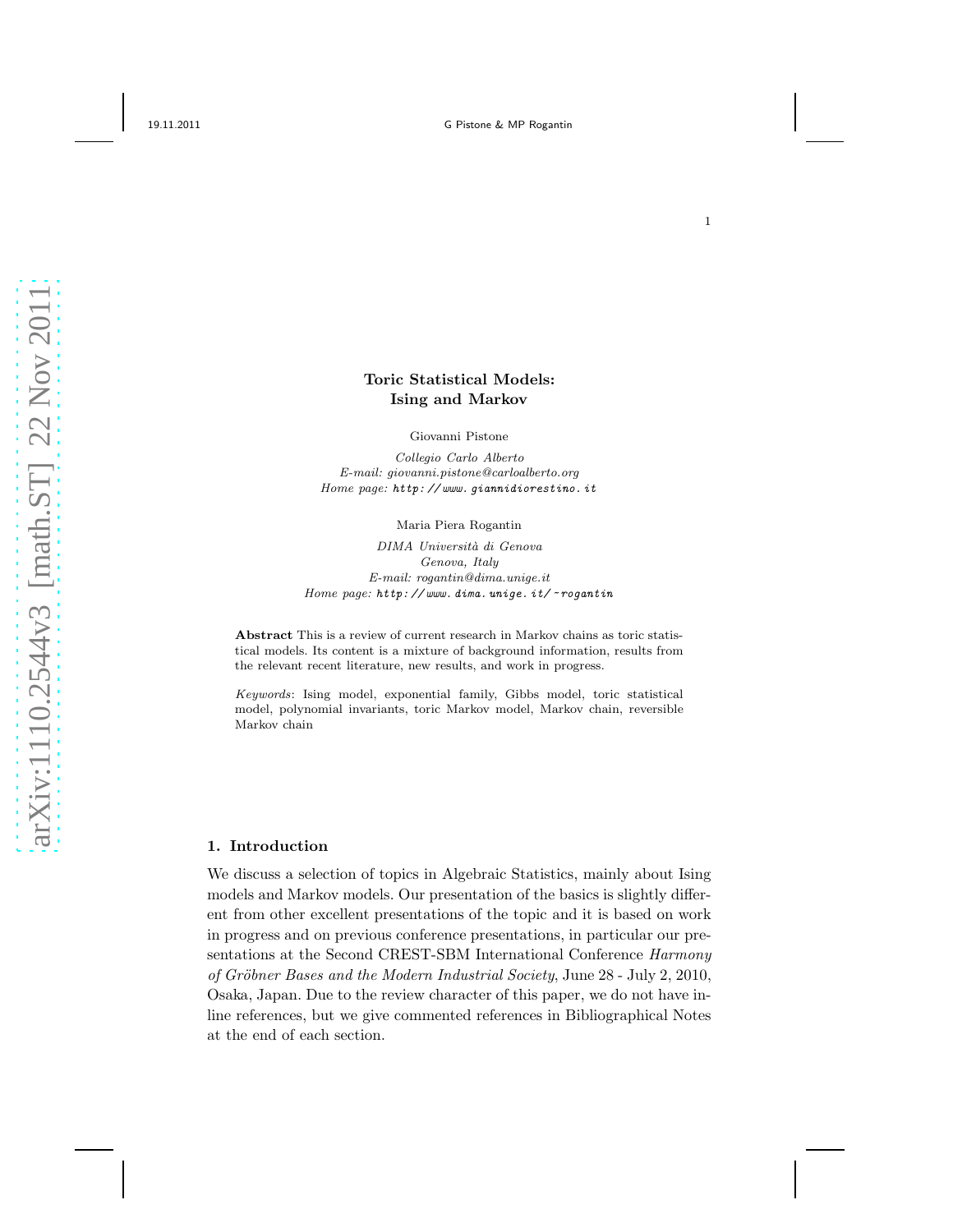# Toric Statistical Models: Ising and Markov

Giovanni Pistone

*Collegio Carlo Alberto E-mail: giovanni.pistone@carloalberto.org Home page: http: // www. giannidiorestino. it*

Maria Piera Rogantin

*DIMA Universit`a di Genova Genova, Italy E-mail: rogantin@dima.unige.it Home page: http: // www. dima. unige. it/ ~ rogantin*

Abstract This is a review of current research in Markov chains as toric statistical models. Its content is a mixture of background information, results from the relevant recent literature, new results, and work in progress.

*Keywords*: Ising model, exponential family, Gibbs model, toric statistical model, polynomial invariants, toric Markov model, Markov chain, reversible Markov chain

# 1. Introduction

We discuss a selection of topics in Algebraic Statistics, mainly about Ising models and Markov models. Our presentation of the basics is slightly different from other excellent presentations of the topic and it is based on work in progress and on previous conference presentations, in particular our presentations at the Second CREST-SBM International Conference Harmony of Gröbner Bases and the Modern Industrial Society, June 28 - July 2, 2010, Osaka, Japan. Due to the review character of this paper, we do not have inline references, but we give commented references in Bibliographical Notes at the end of each section.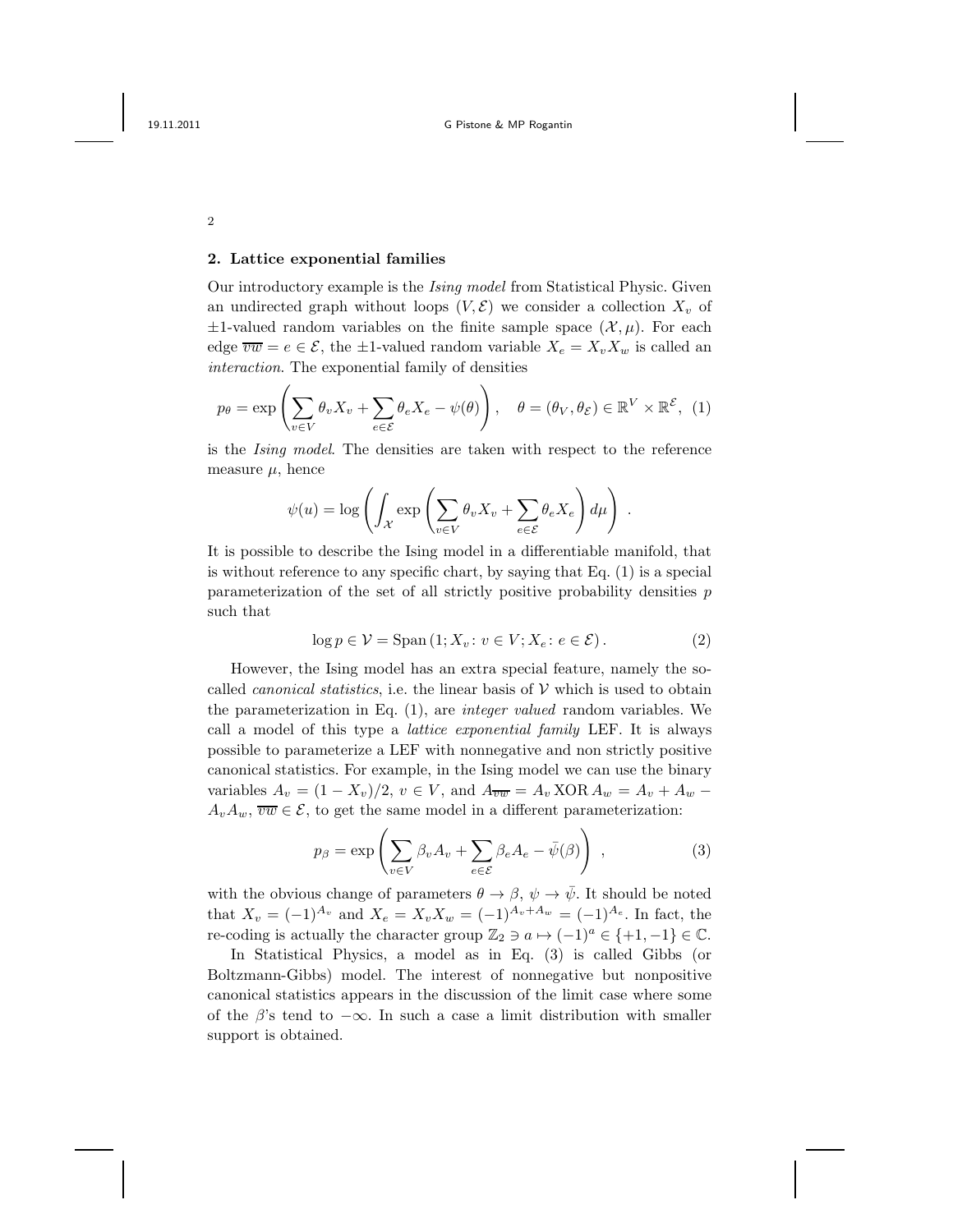### 2. Lattice exponential families

Our introductory example is the Ising model from Statistical Physic. Given an undirected graph without loops  $(V, \mathcal{E})$  we consider a collection  $X_v$  of  $\pm 1$ -valued random variables on the finite sample space  $(\mathcal{X}, \mu)$ . For each edge  $\overline{vw} = e \in \mathcal{E}$ , the  $\pm 1$ -valued random variable  $X_e = X_v X_w$  is called an interaction. The exponential family of densities

$$
p_{\theta} = \exp\left(\sum_{v \in V} \theta_v X_v + \sum_{e \in \mathcal{E}} \theta_e X_e - \psi(\theta)\right), \quad \theta = (\theta_V, \theta_{\mathcal{E}}) \in \mathbb{R}^V \times \mathbb{R}^{\mathcal{E}}, \tag{1}
$$

is the Ising model. The densities are taken with respect to the reference measure  $\mu$ , hence

$$
\psi(u) = \log \left( \int_{\mathcal{X}} \exp \left( \sum_{v \in V} \theta_v X_v + \sum_{e \in \mathcal{E}} \theta_e X_e \right) d\mu \right) .
$$

It is possible to describe the Ising model in a differentiable manifold, that is without reference to any specific chart, by saying that Eq. (1) is a special parameterization of the set of all strictly positive probability densities p such that

$$
\log p \in \mathcal{V} = \text{Span}\left(1; X_v \colon v \in V; X_e \colon e \in \mathcal{E}\right). \tag{2}
$$

However, the Ising model has an extra special feature, namely the socalled *canonical statistics*, i.e. the linear basis of  $V$  which is used to obtain the parameterization in Eq.  $(1)$ , are *integer valued* random variables. We call a model of this type a lattice exponential family LEF. It is always possible to parameterize a LEF with nonnegative and non strictly positive canonical statistics. For example, in the Ising model we can use the binary variables  $A_v = (1 - X_v)/2$ ,  $v \in V$ , and  $A_{\overline{vw}} = A_v \text{ XOR } A_w = A_v + A_w$  $A_vA_w$ ,  $\overline{vw} \in \mathcal{E}$ , to get the same model in a different parameterization:

$$
p_{\beta} = \exp\left(\sum_{v \in V} \beta_v A_v + \sum_{e \in \mathcal{E}} \beta_e A_e - \bar{\psi}(\beta)\right) ,\qquad (3)
$$

with the obvious change of parameters  $\theta \to \beta$ ,  $\psi \to \bar{\psi}$ . It should be noted that  $X_v = (-1)^{A_v}$  and  $X_e = X_v X_w = (-1)^{A_v + A_w} = (-1)^{A_e}$ . In fact, the re-coding is actually the character group  $\mathbb{Z}_2 \ni a \mapsto (-1)^a \in \{+1, -1\} \in \mathbb{C}$ .

In Statistical Physics, a model as in Eq. (3) is called Gibbs (or Boltzmann-Gibbs) model. The interest of nonnegative but nonpositive canonical statistics appears in the discussion of the limit case where some of the  $\beta$ 's tend to  $-\infty$ . In such a case a limit distribution with smaller support is obtained.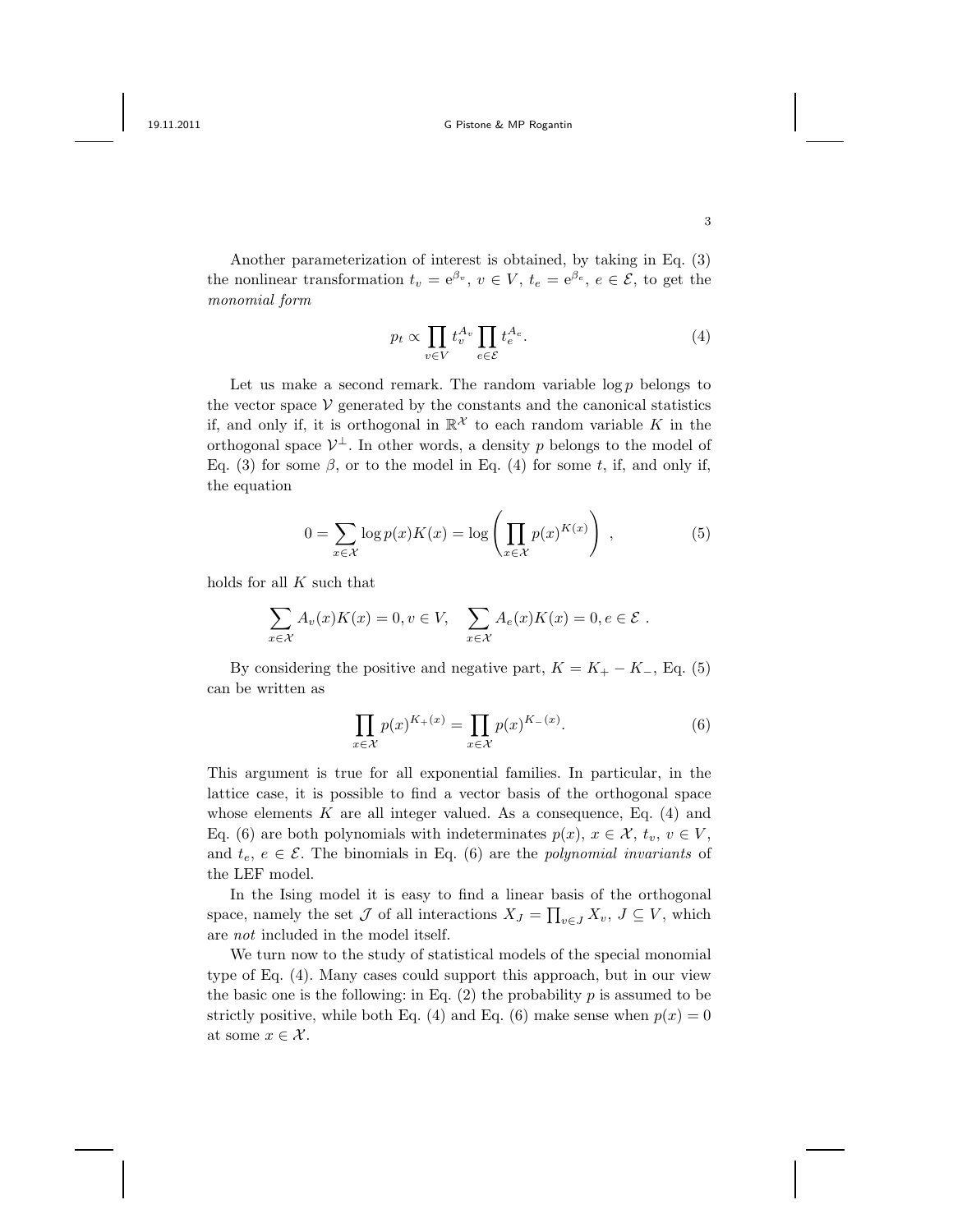Another parameterization of interest is obtained, by taking in Eq. (3) the nonlinear transformation  $t_v = e^{\beta_v}$ ,  $v \in V$ ,  $t_e = e^{\beta_e}$ ,  $e \in \mathcal{E}$ , to get the monomial form

$$
p_t \propto \prod_{v \in V} t_v^{A_v} \prod_{e \in \mathcal{E}} t_e^{A_e}.
$$
 (4)

Let us make a second remark. The random variable  $\log p$  belongs to the vector space  $V$  generated by the constants and the canonical statistics if, and only if, it is orthogonal in  $\mathbb{R}^{\mathcal{X}}$  to each random variable K in the orthogonal space  $\mathcal{V}^{\perp}$ . In other words, a density p belongs to the model of Eq. (3) for some  $\beta$ , or to the model in Eq. (4) for some t, if, and only if, the equation

$$
0 = \sum_{x \in \mathcal{X}} \log p(x) K(x) = \log \left( \prod_{x \in \mathcal{X}} p(x)^{K(x)} \right) , \qquad (5)
$$

holds for all  $K$  such that

$$
\sum_{x \in \mathcal{X}} A_v(x) K(x) = 0, v \in V, \quad \sum_{x \in \mathcal{X}} A_e(x) K(x) = 0, e \in \mathcal{E}.
$$

By considering the positive and negative part,  $K = K_{+} - K_{-}$ , Eq. (5) can be written as

$$
\prod_{x \in \mathcal{X}} p(x)^{K_+(x)} = \prod_{x \in \mathcal{X}} p(x)^{K_-(x)}.
$$
 (6)

This argument is true for all exponential families. In particular, in the lattice case, it is possible to find a vector basis of the orthogonal space whose elements  $K$  are all integer valued. As a consequence, Eq.  $(4)$  and Eq. (6) are both polynomials with indeterminates  $p(x)$ ,  $x \in \mathcal{X}$ ,  $t_v$ ,  $v \in V$ , and  $t_e, e \in \mathcal{E}$ . The binomials in Eq. (6) are the *polynomial invariants* of the LEF model.

In the Ising model it is easy to find a linear basis of the orthogonal space, namely the set  $\mathcal J$  of all interactions  $X_J = \prod_{v \in J} X_v$ ,  $J \subseteq V$ , which are not included in the model itself.

We turn now to the study of statistical models of the special monomial type of Eq. (4). Many cases could support this approach, but in our view the basic one is the following: in Eq.  $(2)$  the probability p is assumed to be strictly positive, while both Eq. (4) and Eq. (6) make sense when  $p(x) = 0$ at some  $x \in \mathcal{X}$ .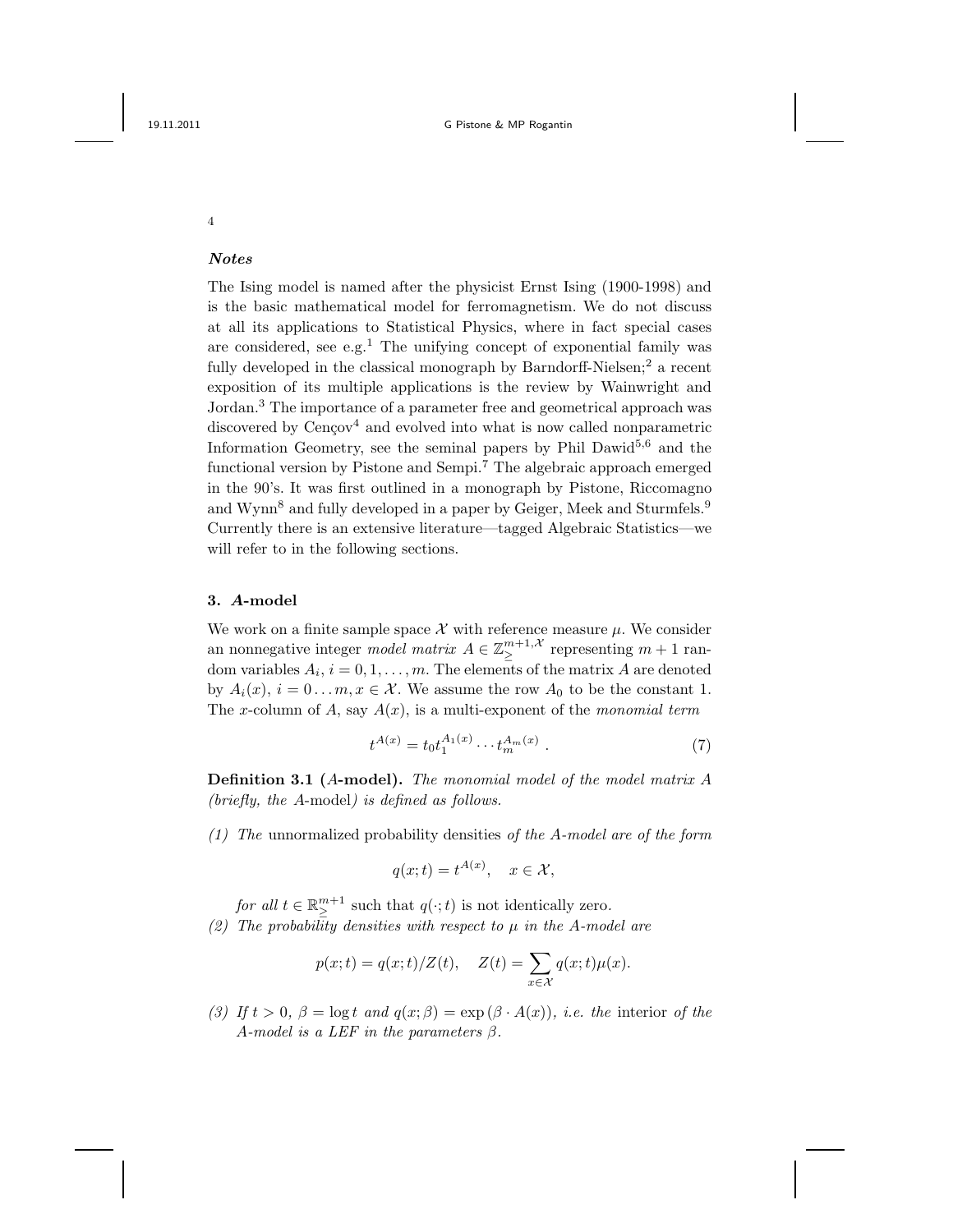## Notes

The Ising model is named after the physicist Ernst Ising (1900-1998) and is the basic mathematical model for ferromagnetism. We do not discuss at all its applications to Statistical Physics, where in fact special cases are considered, see e.g.<sup>1</sup> The unifying concept of exponential family was fully developed in the classical monograph by Barndorff-Nielsen;<sup>2</sup> a recent exposition of its multiple applications is the review by Wainwright and Jordan.<sup>3</sup> The importance of a parameter free and geometrical approach was discovered by  $Cenqov<sup>4</sup>$  and evolved into what is now called nonparametric Information Geometry, see the seminal papers by Phil Dawid<sup>5,6</sup> and the functional version by Pistone and Sempi.<sup>7</sup> The algebraic approach emerged in the 90's. It was first outlined in a monograph by Pistone, Riccomagno and Wynn<sup>8</sup> and fully developed in a paper by Geiger, Meek and Sturmfels.<sup>9</sup> Currently there is an extensive literature—tagged Algebraic Statistics—we will refer to in the following sections.

### 3. A-model

We work on a finite sample space  $\mathcal X$  with reference measure  $\mu$ . We consider an nonnegative integer *model matrix*  $A \in \mathbb{Z}_{\geq}^{m+1, \mathcal{X}}$  representing  $m+1$  random variables  $A_i$ ,  $i = 0, 1, ..., m$ . The elements of the matrix A are denoted by  $A_i(x)$ ,  $i = 0...m$ ,  $x \in \mathcal{X}$ . We assume the row  $A_0$  to be the constant 1. The x-column of A, say  $A(x)$ , is a multi-exponent of the monomial term

$$
t^{A(x)} = t_0 t_1^{A_1(x)} \cdots t_m^{A_m(x)}.
$$
 (7)

Definition 3.1 (A-model). The monomial model of the model matrix A (briefly, the A-model) is defined as follows.

(1) The unnormalized probability densities of the A-model are of the form

$$
q(x;t) = t^{A(x)}, \quad x \in \mathcal{X},
$$

for all  $t \in \mathbb{R}^{m+1}_{\geq}$  such that  $q(\cdot; t)$  is not identically zero. (2) The probability densities with respect to  $\mu$  in the A-model are

$$
p(x;t) = q(x;t)/Z(t), \quad Z(t) = \sum_{x \in \mathcal{X}} q(x;t)\mu(x).
$$

(3) If  $t > 0$ ,  $\beta = \log t$  and  $q(x; \beta) = \exp(\beta \cdot A(x))$ , i.e. the interior of the A-model is a LEF in the parameters  $\beta$ .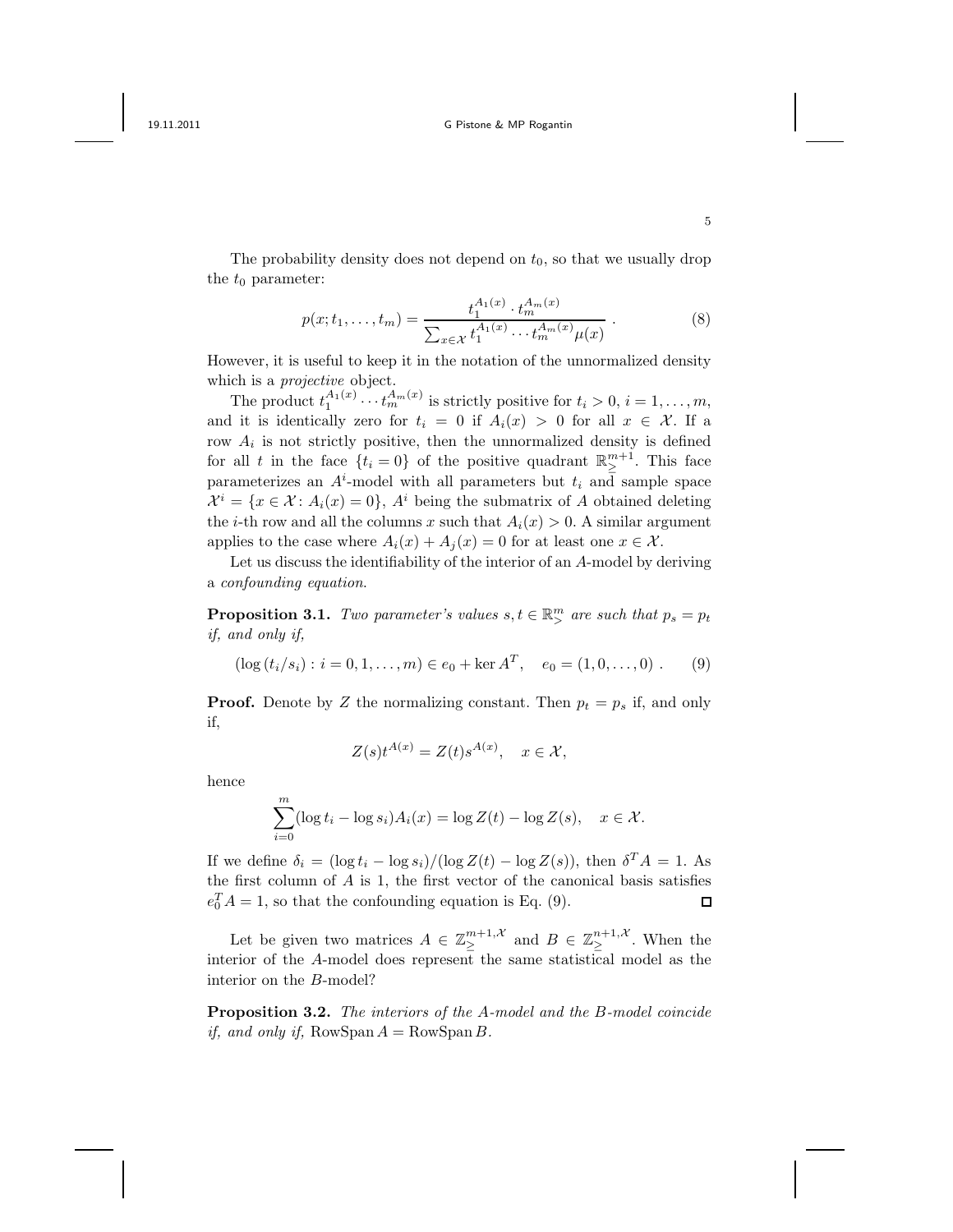The probability density does not depend on  $t_0$ , so that we usually drop the  $t_0$  parameter:

$$
p(x; t_1, \dots, t_m) = \frac{t_1^{A_1(x)} \cdot t_m^{A_m(x)}}{\sum_{x \in \mathcal{X}} t_1^{A_1(x)} \cdots t_m^{A_m(x)} \mu(x)} .
$$
 (8)

However, it is useful to keep it in the notation of the unnormalized density which is a *projective* object.

The product  $t_1^{A_1(x)} \cdots t_m^{A_m(x)}$  is strictly positive for  $t_i > 0, i = 1, \ldots, m$ , and it is identically zero for  $t_i = 0$  if  $A_i(x) > 0$  for all  $x \in \mathcal{X}$ . If a row  $A_i$  is not strictly positive, then the unnormalized density is defined for all t in the face  $\{t_i = 0\}$  of the positive quadrant  $\mathbb{R}^{m+1}_{\geq}$ . This face parameterizes an  $A^i$ -model with all parameters but  $t_i$  and sample space  $\mathcal{X}^i = \{x \in \mathcal{X} : A_i(x) = 0\}, A^i$  being the submatrix of A obtained deleting the *i*-th row and all the columns x such that  $A_i(x) > 0$ . A similar argument applies to the case where  $A_i(x) + A_j(x) = 0$  for at least one  $x \in \mathcal{X}$ .

Let us discuss the identifiability of the interior of an A-model by deriving a confounding equation.

**Proposition 3.1.** Two parameter's values  $s, t \in \mathbb{R}^m$  are such that  $p_s = p_t$ if, and only if,

$$
(\log(t_i/s_i) : i = 0, 1, ..., m) \in e_0 + \ker A^T, \quad e_0 = (1, 0, ..., 0) .
$$
 (9)

**Proof.** Denote by Z the normalizing constant. Then  $p_t = p_s$  if, and only if,

$$
Z(s)t^{A(x)} = Z(t)s^{A(x)}, \quad x \in \mathcal{X},
$$

hence

$$
\sum_{i=0}^{m} (\log t_i - \log s_i) A_i(x) = \log Z(t) - \log Z(s), \quad x \in \mathcal{X}.
$$

If we define  $\delta_i = (\log t_i - \log s_i)/(\log Z(t) - \log Z(s))$ , then  $\delta^T A = 1$ . As the first column of  $A$  is 1, the first vector of the canonical basis satisfies  $e_0^T A = 1$ , so that the confounding equation is Eq. (9).  $\Box$ 

Let be given two matrices  $A \in \mathbb{Z}_{\geq}^{m+1,\mathcal{X}}$  and  $B \in \mathbb{Z}_{\geq}^{n+1,\mathcal{X}}$ . When the interior of the A-model does represent the same statistical model as the interior on the B-model?

Proposition 3.2. The interiors of the A-model and the B-model coincide if, and only if,  $RowSpan A = RowSpan B$ .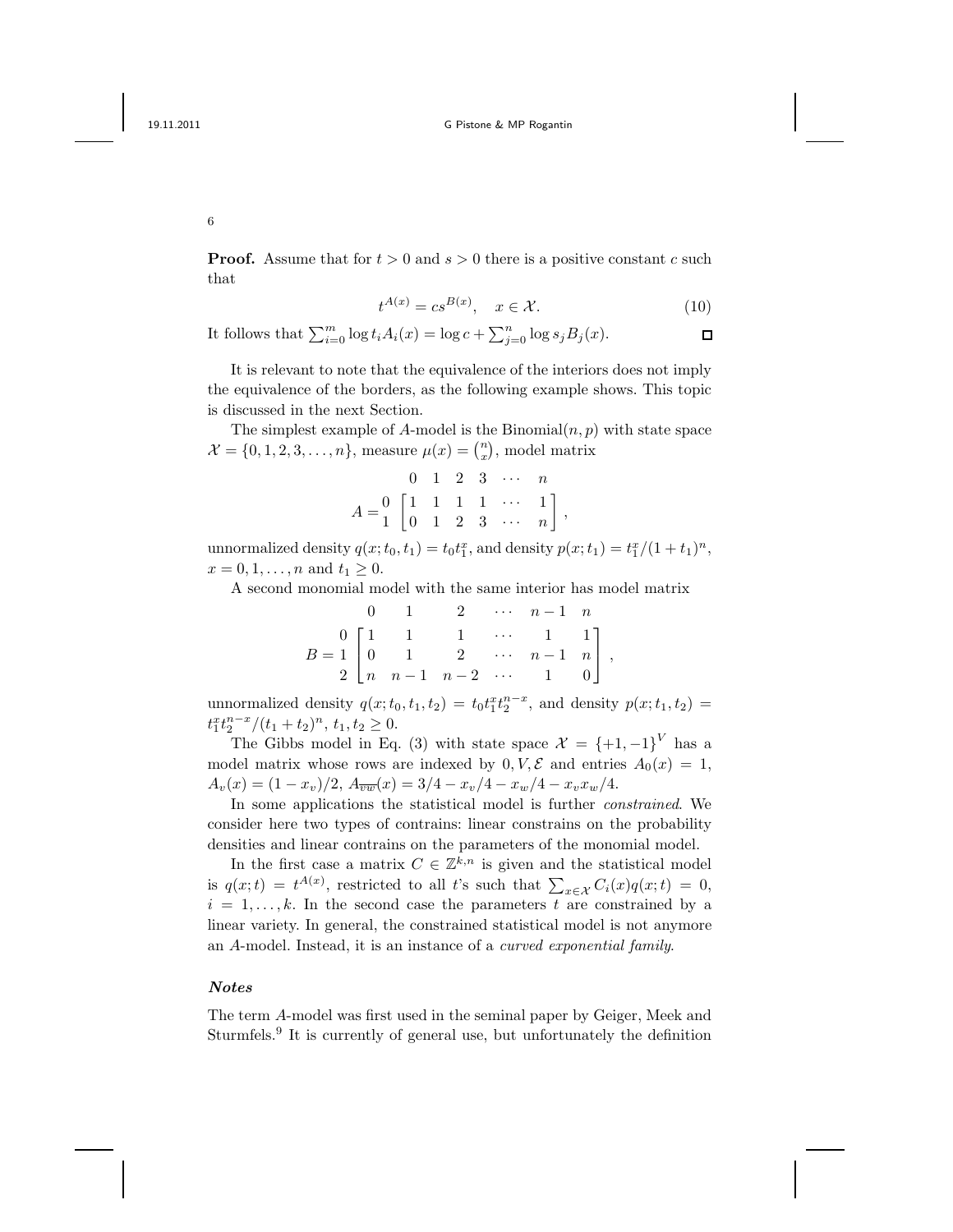**Proof.** Assume that for  $t > 0$  and  $s > 0$  there is a positive constant c such that

$$
t^{A(x)} = cs^{B(x)}, \quad x \in \mathcal{X}.
$$
 (10)

It follows that  $\sum_{i=0}^{m} \log t_i A_i(x) = \log c + \sum_{j=0}^{n} \log s_j B_j(x)$ .  $\Box$ 

It is relevant to note that the equivalence of the interiors does not imply the equivalence of the borders, as the following example shows. This topic is discussed in the next Section.

The simplest example of A-model is the Binomial $(n, p)$  with state space  $\mathcal{X} = \{0, 1, 2, 3, \dots, n\}$ , measure  $\mu(x) = \binom{n}{x}$ , model matrix

$$
A = \begin{bmatrix} 0 & 1 & 2 & 3 & \cdots & n \\ 0 & 1 & 1 & 1 & 1 & \cdots & 1 \\ 0 & 1 & 2 & 3 & \cdots & n \end{bmatrix},
$$

unnormalized density  $q(x; t_0, t_1) = t_0 t_1^x$ , and density  $p(x; t_1) = t_1^x/(1 + t_1)^n$ ,  $x = 0, 1, \ldots, n$  and  $t_1 \geq 0$ .

A second monomial model with the same interior has model matrix

|                                                                                                                                              |  |  | 0 1 2 $\cdots$ $n-1$ n |  |
|----------------------------------------------------------------------------------------------------------------------------------------------|--|--|------------------------|--|
|                                                                                                                                              |  |  |                        |  |
| $B = \begin{bmatrix} 0 & 1 & 1 & 1 & \cdots & 1 & 1 \\ 0 & 1 & 2 & \cdots & n-1 & n \\ 2 & n & n-1 & n-2 & \cdots & 1 & 0 \end{bmatrix} \,,$ |  |  |                        |  |
|                                                                                                                                              |  |  |                        |  |

unnormalized density  $q(x; t_0, t_1, t_2) = t_0 t_1^x t_2^{n-x}$ , and density  $p(x; t_1, t_2) =$  $t_1^x t_2^{n-x}/(t_1+t_2)^n$ ,  $t_1, t_2 \geq 0$ .

The Gibbs model in Eq. (3) with state space  $\mathcal{X} = \{+1, -1\}^V$  has a model matrix whose rows are indexed by  $0, V, \mathcal{E}$  and entries  $A_0(x) = 1$ ,  $A_v(x) = (1-x_v)/2, A_{\overline{vw}}(x) = 3/4 - x_v/4 - x_w/4 - x_vx_w/4.$ 

In some applications the statistical model is further constrained. We consider here two types of contrains: linear constrains on the probability densities and linear contrains on the parameters of the monomial model.

In the first case a matrix  $C \in \mathbb{Z}^{k,n}$  is given and the statistical model is  $q(x;t) = t^{A(x)}$ , restricted to all t's such that  $\sum_{x \in \mathcal{X}} C_i(x) q(x;t) = 0$ ,  $i = 1, \ldots, k$ . In the second case the parameters t are constrained by a linear variety. In general, the constrained statistical model is not anymore an A-model. Instead, it is an instance of a curved exponential family.

#### Notes

The term A-model was first used in the seminal paper by Geiger, Meek and Sturmfels.<sup>9</sup> It is currently of general use, but unfortunately the definition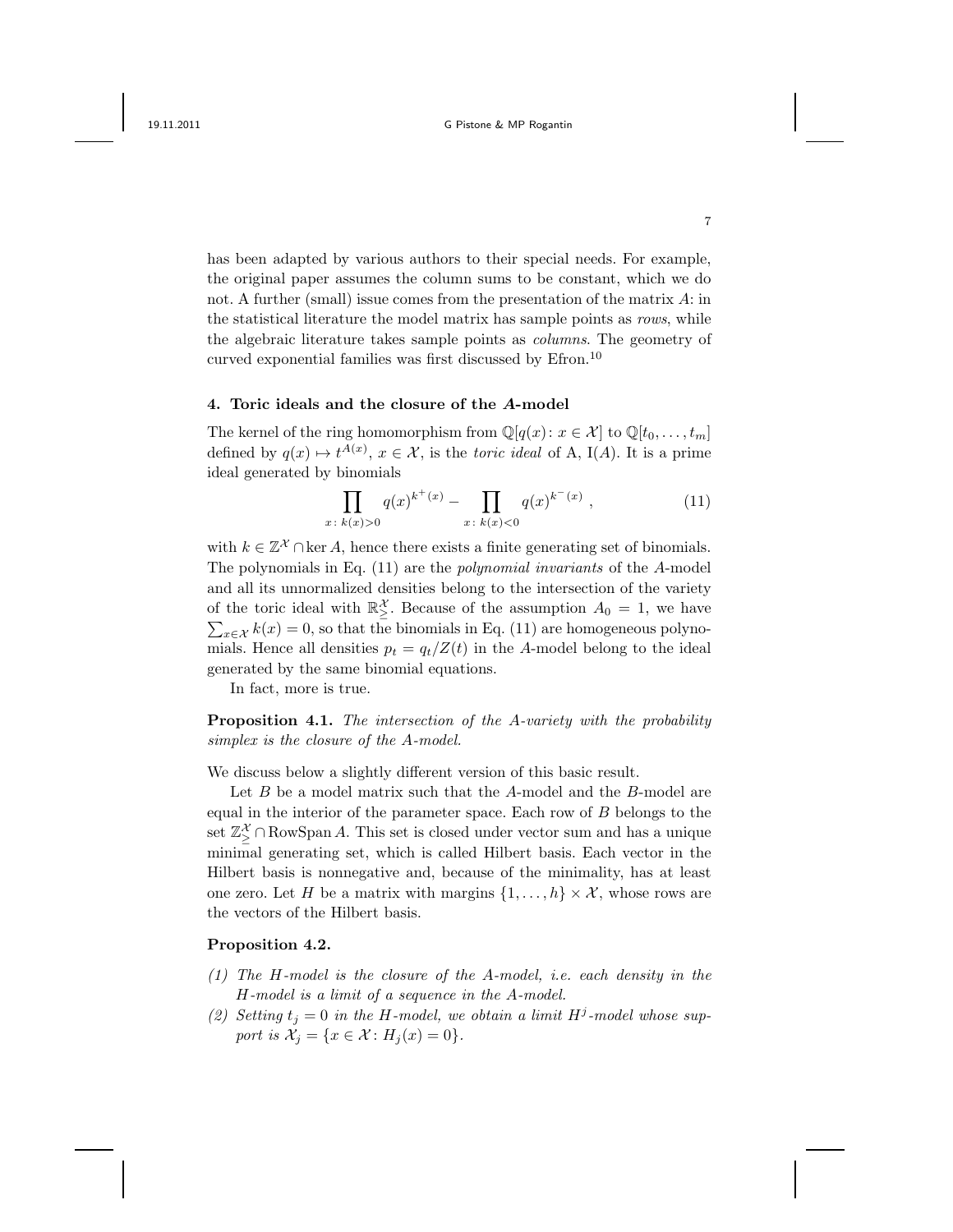has been adapted by various authors to their special needs. For example, the original paper assumes the column sums to be constant, which we do not. A further (small) issue comes from the presentation of the matrix  $A$ : in the statistical literature the model matrix has sample points as rows, while the algebraic literature takes sample points as columns. The geometry of curved exponential families was first discussed by Efron.<sup>10</sup>

#### 4. Toric ideals and the closure of the A-model

The kernel of the ring homomorphism from  $\mathbb{Q}[q(x): x \in \mathcal{X}]$  to  $\mathbb{Q}[t_0, \ldots, t_m]$ defined by  $q(x) \mapsto t^{A(x)}$ ,  $x \in \mathcal{X}$ , is the toric ideal of A, I(A). It is a prime ideal generated by binomials

$$
\prod_{x \colon k(x) > 0} q(x)^{k^+(x)} - \prod_{x \colon k(x) < 0} q(x)^{k^-(x)},\tag{11}
$$

with  $k \in \mathbb{Z}^{\mathcal{X}} \cap \text{ker } A$ , hence there exists a finite generating set of binomials. The polynomials in Eq. (11) are the polynomial invariants of the A-model and all its unnormalized densities belong to the intersection of the variety of the toric ideal with  $\mathbb{R}^{\mathcal{X}}_{\geq}$ . Because of the assumption  $A_0 = 1$ , we have  $\sum_{x \in \mathcal{X}} k(x) = 0$ , so that the binomials in Eq. (11) are homogeneous polynomials. Hence all densities  $p_t = q_t/Z(t)$  in the A-model belong to the ideal generated by the same binomial equations.

In fact, more is true.

Proposition 4.1. The intersection of the A-variety with the probability simplex is the closure of the A-model.

We discuss below a slightly different version of this basic result.

Let  $B$  be a model matrix such that the  $A$ -model and the  $B$ -model are equal in the interior of the parameter space. Each row of  $B$  belongs to the set  $\mathbb{Z}_\geq^\mathcal{X} \cap \mathrm{Row}\mathrm{Span}\, A$ . This set is closed under vector sum and has a unique minimal generating set, which is called Hilbert basis. Each vector in the Hilbert basis is nonnegative and, because of the minimality, has at least one zero. Let H be a matrix with margins  $\{1, \ldots, h\} \times \mathcal{X}$ , whose rows are the vectors of the Hilbert basis.

### Proposition 4.2.

- (1) The H-model is the closure of the A-model, i.e. each density in the H-model is a limit of a sequence in the A-model.
- (2) Setting  $t_j = 0$  in the H-model, we obtain a limit  $H^j$ -model whose support is  $\mathcal{X}_i = \{x \in \mathcal{X} : H_i(x) = 0\}.$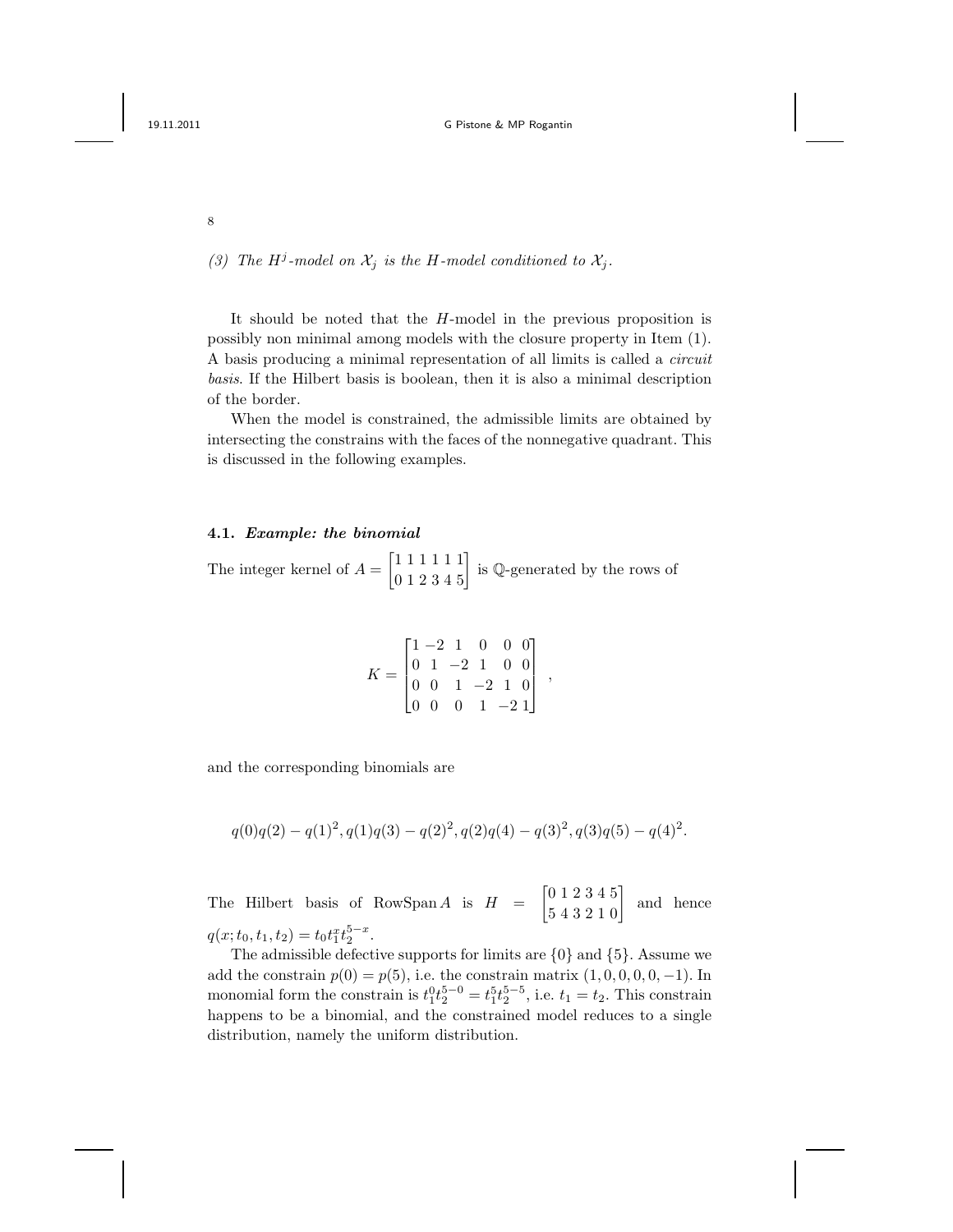(3) The H<sup>j</sup>-model on  $\mathcal{X}_j$  is the H-model conditioned to  $\mathcal{X}_j$ .

It should be noted that the H-model in the previous proposition is possibly non minimal among models with the closure property in Item (1). A basis producing a minimal representation of all limits is called a circuit basis. If the Hilbert basis is boolean, then it is also a minimal description of the border.

When the model is constrained, the admissible limits are obtained by intersecting the constrains with the faces of the nonnegative quadrant. This is discussed in the following examples.

#### 4.1. Example: the binomial

The integer kernel of  $A = \begin{bmatrix} 1 & 1 & 1 & 1 & 1 \\ 0 & 1 & 2 & 3 & 4 & 5 \end{bmatrix}$  is Q-generated by the rows of

$$
K = \begin{bmatrix} 1 & -2 & 1 & 0 & 0 & 0 \\ 0 & 1 & -2 & 1 & 0 & 0 \\ 0 & 0 & 1 & -2 & 1 & 0 \\ 0 & 0 & 0 & 1 & -2 & 1 \end{bmatrix},
$$

and the corresponding binomials are

$$
q(0)q(2) - q(1)^2, q(1)q(3) - q(2)^2, q(2)q(4) - q(3)^2, q(3)q(5) - q(4)^2.
$$

The Hilbert basis of RowSpan A is  $H = \begin{bmatrix} 0 & 1 & 2 & 3 & 4 & 5 \\ 5 & 4 & 3 & 2 & 1 & 0 \end{bmatrix}$  and hence  $q(x; t_0, t_1, t_2) = t_0 t_1^x t_2^{5-x}.$ 

The admissible defective supports for limits are  $\{0\}$  and  $\{5\}$ . Assume we add the constrain  $p(0) = p(5)$ , i.e. the constrain matrix  $(1, 0, 0, 0, 0, -1)$ . In monomial form the constrain is  $t_1^0 t_2^{5-0} = t_1^5 t_2^{5-5}$ , i.e.  $t_1 = t_2$ . This constrain happens to be a binomial, and the constrained model reduces to a single distribution, namely the uniform distribution.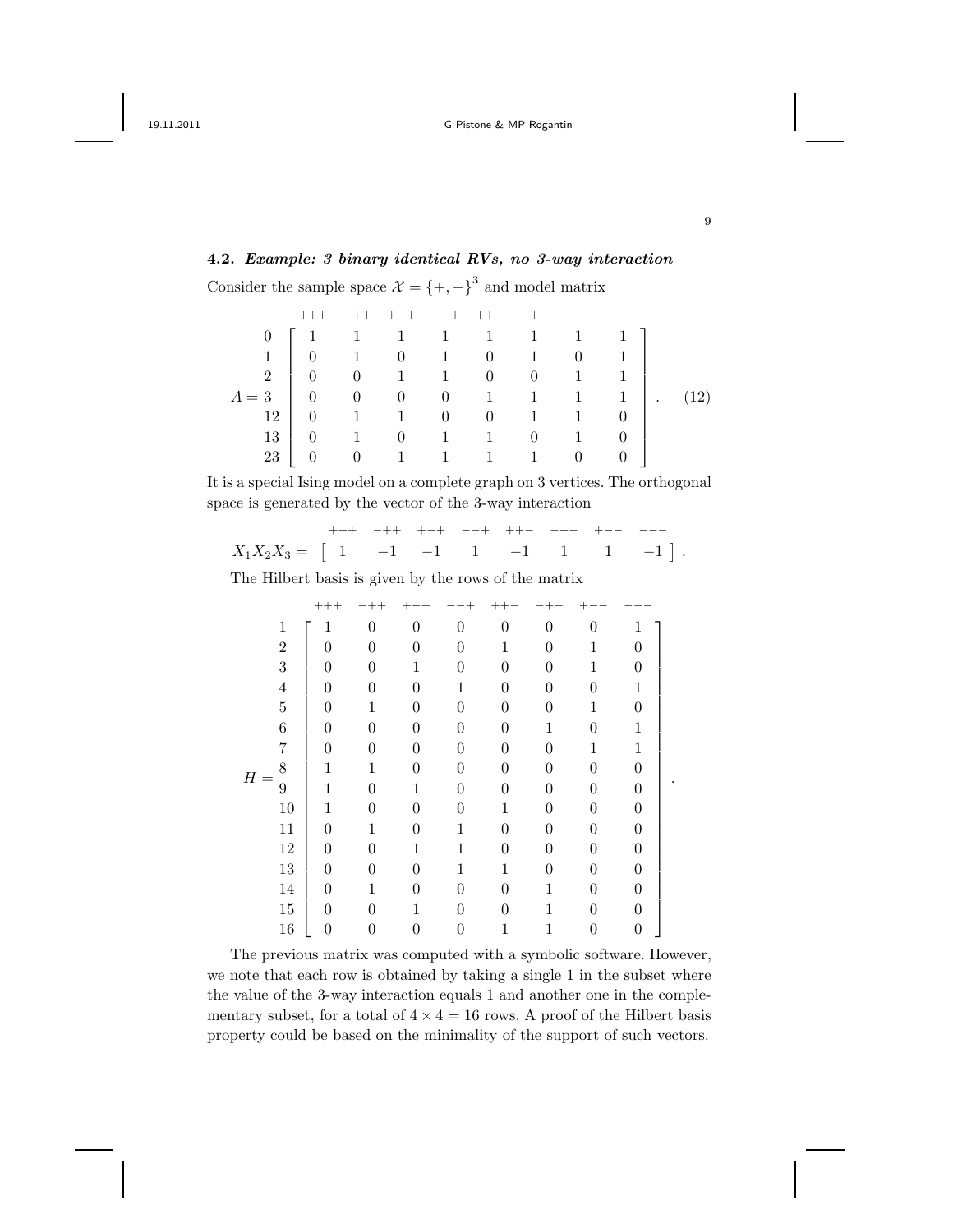# 4.2. Example: 3 binary identical RVs, no 3-way interaction

Consider the sample space  $\mathcal{X} = \{+, -\}^3$  and model matrix

|                                                                  |  |  | $-++$ $-+$ $-+$ $-+$ $-+$ $ +$                                          |  |  |  |
|------------------------------------------------------------------|--|--|-------------------------------------------------------------------------|--|--|--|
|                                                                  |  |  | $0 \begin{bmatrix} 1 & 1 & 1 & 1 & 1 & 1 & 1 & 1 & 1 \end{bmatrix}$     |  |  |  |
|                                                                  |  |  | $1 \begin{bmatrix} 0 & 1 & 0 & 1 & 0 & 1 & 0 & 1 \end{bmatrix}$         |  |  |  |
|                                                                  |  |  | $2 \begin{bmatrix} 0 & 0 & 1 & 1 & 0 & 0 & 1 & 1 \end{bmatrix}$         |  |  |  |
| $=3$ 0 0 0 0 1 1 1 1 1 1 1 1 1 2 0 1 1 1 0 0 1 1 1 0 0 1 1 0 $($ |  |  |                                                                         |  |  |  |
|                                                                  |  |  |                                                                         |  |  |  |
| 13                                                               |  |  | $\begin{array}{cccccccc} \n0 & 1 & 0 & 1 & 1 & 0 & 1 & 0 \n\end{array}$ |  |  |  |
|                                                                  |  |  | $\begin{matrix} 0 & 1 & 1 & 1 & 1 & 0 & 0 \end{matrix}$                 |  |  |  |

It is a special Ising model on a complete graph on 3 vertices. The orthogonal space is generated by the vector of the 3-way interaction

|                                                                                   |  |  |  | +++ -++ +-+ --+ ++- -+- +-- --- |  |
|-----------------------------------------------------------------------------------|--|--|--|---------------------------------|--|
| $X_1 X_2 X_3 = \begin{bmatrix} 1 & -1 & -1 & 1 & -1 & 1 & 1 & -1 \end{bmatrix}$ . |  |  |  |                                 |  |

The Hilbert basis is given by the rows of the matrix

|       |                  | $++++$ |                  |                  |             |                |                  |                |                  |  |
|-------|------------------|--------|------------------|------------------|-------------|----------------|------------------|----------------|------------------|--|
|       | $\,1$            | 1      | $\overline{0}$   | $\boldsymbol{0}$ | $\theta$    | $\overline{0}$ | $\boldsymbol{0}$ | $\Omega$       | 1                |  |
|       | $\,2$            | 0      | $\overline{0}$   | 0                | 0           | 1              | 0                | 1              | $\overline{0}$   |  |
|       | $\sqrt{3}$       | 0      | $\theta$         | 1                | 0           | $\theta$       | 0                | 1              | 0                |  |
|       | $\overline{4}$   | 0      | $\overline{0}$   | 0                | 1           | $\theta$       | 0                | $\overline{0}$ | 1                |  |
|       | $\bf 5$          | 0      | $\mathbf{1}$     | 0                | $\Omega$    | $\overline{0}$ | 0                | $\mathbf{1}$   | $\Omega$         |  |
|       | $\boldsymbol{6}$ | 0      | $\overline{0}$   | 0                | $\theta$    | $\overline{0}$ | 1                | $\overline{0}$ | $\mathbf 1$      |  |
|       | 7                | 0      | $\theta$         | 0                | 0           | $\theta$       | 0                | 1              | 1                |  |
| $H =$ | 8                |        | 1                | 0                | 0           | $\theta$       | 0                | $\Omega$       | $\overline{0}$   |  |
|       | 9                |        | $\theta$         | 1                | 0           | $\overline{0}$ | 0                | $\theta$       | $\boldsymbol{0}$ |  |
|       | $10\,$           | 1      | $\overline{0}$   | 0                | 0           | 1              | 0                | 0              | $\boldsymbol{0}$ |  |
|       | $11\,$           | 0      | 1                | 0                | 1           | $\theta$       | 0                | 0              | $\theta$         |  |
|       | $12\,$           | 0      | $\overline{0}$   | 1                | $\mathbf 1$ | $\overline{0}$ | 0                | $\theta$       | 0                |  |
|       | $13\,$           | 0      | $\overline{0}$   | 0                | 1           | 1              | 0                | $\Omega$       | $\overline{0}$   |  |
|       | 14               | 0      | 1                | 0                | 0           | $\overline{0}$ | 1                | 0              | 0                |  |
|       | $15\,$           | 0      | $\theta$         | 1                | 0           | $\theta$       | 1                | $\theta$       | $\theta$         |  |
|       | 16               | 0      | $\boldsymbol{0}$ | 0                | 0           |                |                  | 0              | $\boldsymbol{0}$ |  |

The previous matrix was computed with a symbolic software. However, we note that each row is obtained by taking a single 1 in the subset where the value of the 3-way interaction equals 1 and another one in the complementary subset, for a total of  $4 \times 4 = 16$  rows. A proof of the Hilbert basis property could be based on the minimality of the support of such vectors.

9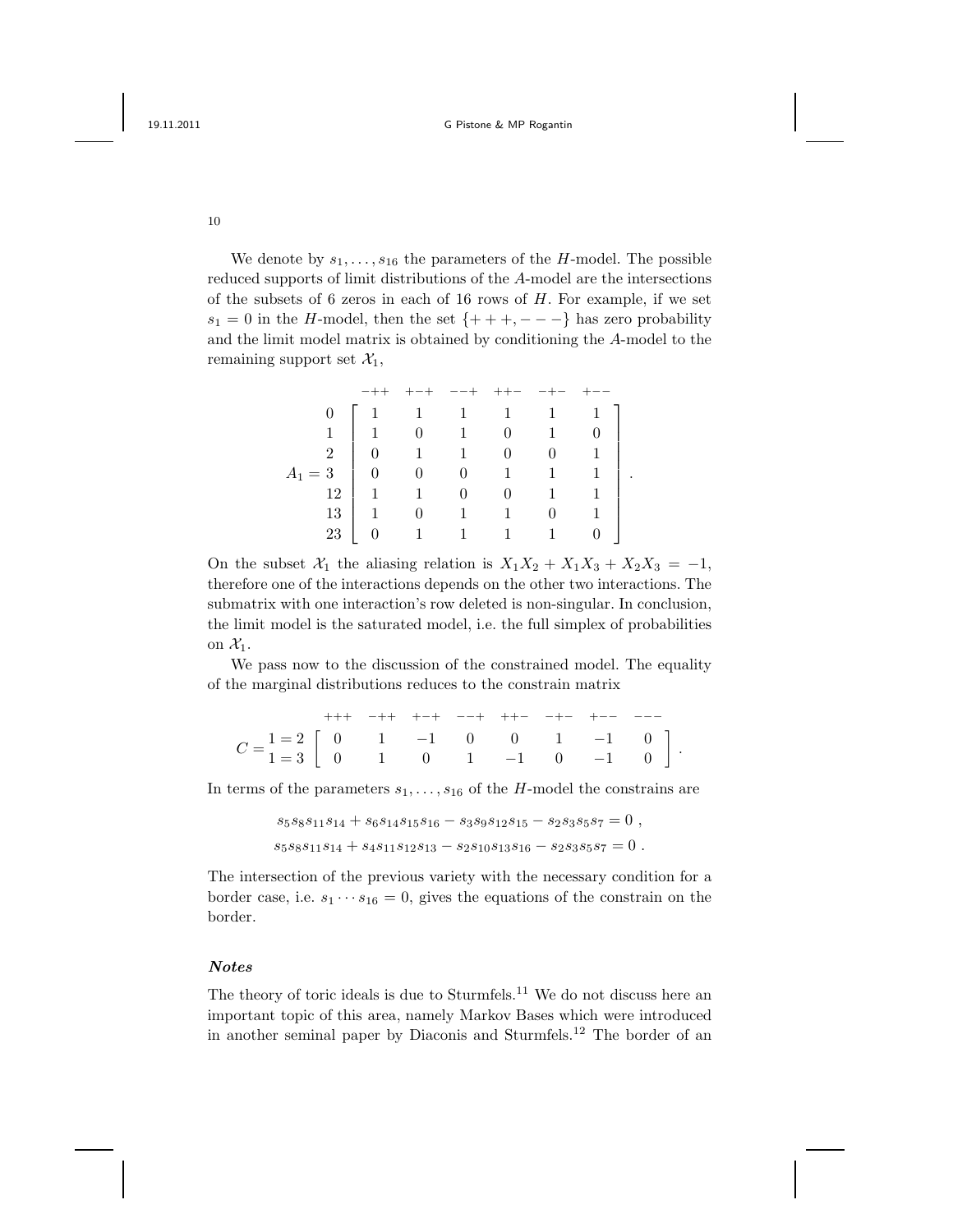10

We denote by  $s_1, \ldots, s_{16}$  the parameters of the H-model. The possible reduced supports of limit distributions of the A-model are the intersections of the subsets of  $6$  zeros in each of  $16$  rows of  $H$ . For example, if we set  $s_1 = 0$  in the H-model, then the set  $\{+++,---\}$  has zero probability and the limit model matrix is obtained by conditioning the A-model to the remaining support set  $\mathcal{X}_1$ ,

|  |                | $\left[\begin{array}{cccccc} 1 & 1 & 1 & 1 \\ 1 & 0 & 1 & 0 \end{array}\right]$ |              |                                             |          | $-1$ $-$       | $\overline{1}$ |  |
|--|----------------|---------------------------------------------------------------------------------|--------------|---------------------------------------------|----------|----------------|----------------|--|
|  |                |                                                                                 |              |                                             |          | $\sim$ 1       |                |  |
|  | $\mathfrak{D}$ |                                                                                 |              | $\begin{matrix} 0 & 1 & 1 & 0 \end{matrix}$ |          | $\mathbf{0}$   |                |  |
|  |                |                                                                                 |              |                                             |          | $\overline{1}$ |                |  |
|  | 12             |                                                                                 | $1 \qquad 1$ | $\frac{1}{2}$                               | $\Omega$ | $1 \quad$      |                |  |
|  | 13             | $1 - 1$                                                                         |              | $0 \qquad 1$                                | $1 -$    | $\Omega$       |                |  |
|  |                |                                                                                 | $0 \qquad 1$ | $\mathbf{1}$                                | $1 -$    | 1.             |                |  |

On the subset  $X_1$  the aliasing relation is  $X_1X_2 + X_1X_3 + X_2X_3 = -1$ , therefore one of the interactions depends on the other two interactions. The submatrix with one interaction's row deleted is non-singular. In conclusion, the limit model is the saturated model, i.e. the full simplex of probabilities on  $\mathcal{X}_1$ .

We pass now to the discussion of the constrained model. The equality of the marginal distributions reduces to the constrain matrix

|                                                                                                                                                  |  |  |  | $++++\quad -++\quad +-+ \quad --++\quad ++- \quad -+-\quad +- \quad ----$ |  |
|--------------------------------------------------------------------------------------------------------------------------------------------------|--|--|--|---------------------------------------------------------------------------|--|
|                                                                                                                                                  |  |  |  |                                                                           |  |
| $C = \begin{bmatrix} 1=2 \\ 1=3 \end{bmatrix} \begin{bmatrix} 0 & 1 & -1 & 0 & 0 & 1 & -1 & 0 \\ 0 & 1 & 0 & 1 & -1 & 0 & -1 & 0 \end{bmatrix}.$ |  |  |  |                                                                           |  |

In terms of the parameters  $s_1, \ldots, s_{16}$  of the H-model the constrains are

 $s_5s_8s_{11}s_{14} + s_6s_{14}s_{15}s_{16} - s_3s_9s_{12}s_{15} - s_2s_3s_5s_7 = 0$ ,  $s_5s_8s_{11}s_{14} + s_4s_{11}s_{12}s_{13} - s_2s_{10}s_{13}s_{16} - s_2s_3s_5s_7 = 0$ .

The intersection of the previous variety with the necessary condition for a border case, i.e.  $s_1 \cdots s_{16} = 0$ , gives the equations of the constrain on the border.

### Notes

The theory of toric ideals is due to Sturmfels.<sup>11</sup> We do not discuss here an important topic of this area, namely Markov Bases which were introduced in another seminal paper by Diaconis and Sturmfels.<sup>12</sup> The border of an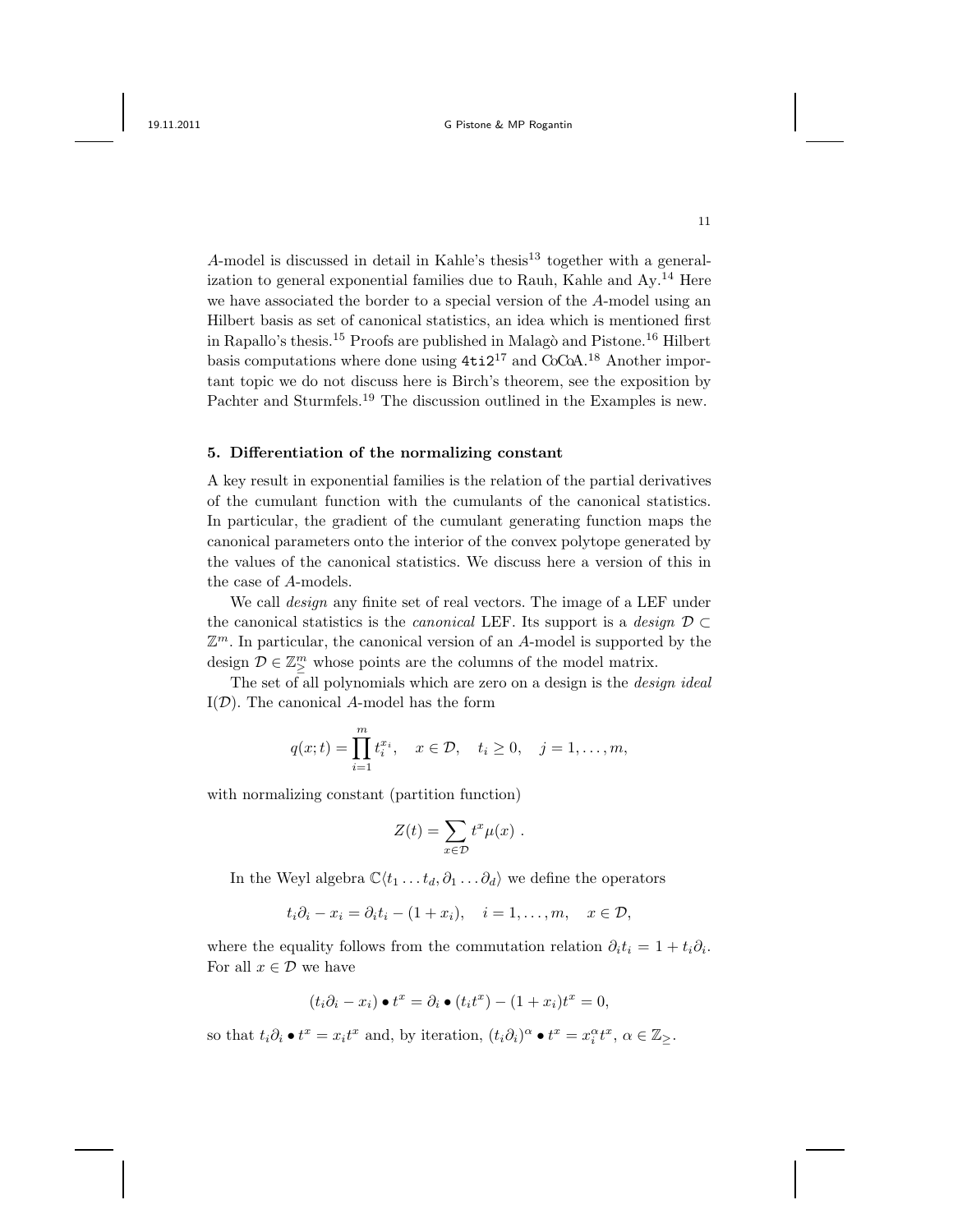A-model is discussed in detail in Kahle's thesis<sup>13</sup> together with a generalization to general exponential families due to Rauh, Kahle and Ay.<sup>14</sup> Here we have associated the border to a special version of the A-model using an Hilbert basis as set of canonical statistics, an idea which is mentioned first in Rapallo's thesis.<sup>15</sup> Proofs are published in Malagò and Pistone.<sup>16</sup> Hilbert basis computations where done using  $4t i 2^{17}$  and CoCoA.<sup>18</sup> Another important topic we do not discuss here is Birch's theorem, see the exposition by Pachter and Sturmfels.<sup>19</sup> The discussion outlined in the Examples is new.

### 5. Differentiation of the normalizing constant

A key result in exponential families is the relation of the partial derivatives of the cumulant function with the cumulants of the canonical statistics. In particular, the gradient of the cumulant generating function maps the canonical parameters onto the interior of the convex polytope generated by the values of the canonical statistics. We discuss here a version of this in the case of A-models.

We call *design* any finite set of real vectors. The image of a LEF under the canonical statistics is the *canonical* LEF. Its support is a *design*  $\mathcal{D} \subset$  $\mathbb{Z}^m$ . In particular, the canonical version of an A-model is supported by the design  $\mathcal{D} \in \mathbb{Z}_{\geq}^m$  whose points are the columns of the model matrix.

The set of all polynomials which are zero on a design is the *design ideal*  $I(\mathcal{D})$ . The canonical A-model has the form

$$
q(x;t) = \prod_{i=1}^{m} t_i^{x_i}, \quad x \in \mathcal{D}, \quad t_i \ge 0, \quad j = 1, ..., m,
$$

with normalizing constant (partition function)

$$
Z(t) = \sum_{x \in \mathcal{D}} t^x \mu(x) .
$$

In the Weyl algebra  $\mathbb{C}\langle t_1 \dots t_d, \partial_1 \dots \partial_d \rangle$  we define the operators

$$
t_i\partial_i - x_i = \partial_i t_i - (1+x_i), \quad i = 1,\ldots,m, \quad x \in \mathcal{D},
$$

where the equality follows from the commutation relation  $\partial_i t_i = 1 + t_i \partial_i$ . For all  $x \in \mathcal{D}$  we have

$$
(t_i\partial_i - x_i) \bullet t^x = \partial_i \bullet (t_i t^x) - (1 + x_i)t^x = 0,
$$

so that  $t_i \partial_i \bullet t^x = x_i t^x$  and, by iteration,  $(t_i \partial_i)^\alpha \bullet t^x = x_i^\alpha t^x, \ \alpha \in \mathbb{Z}_{\geq}$ .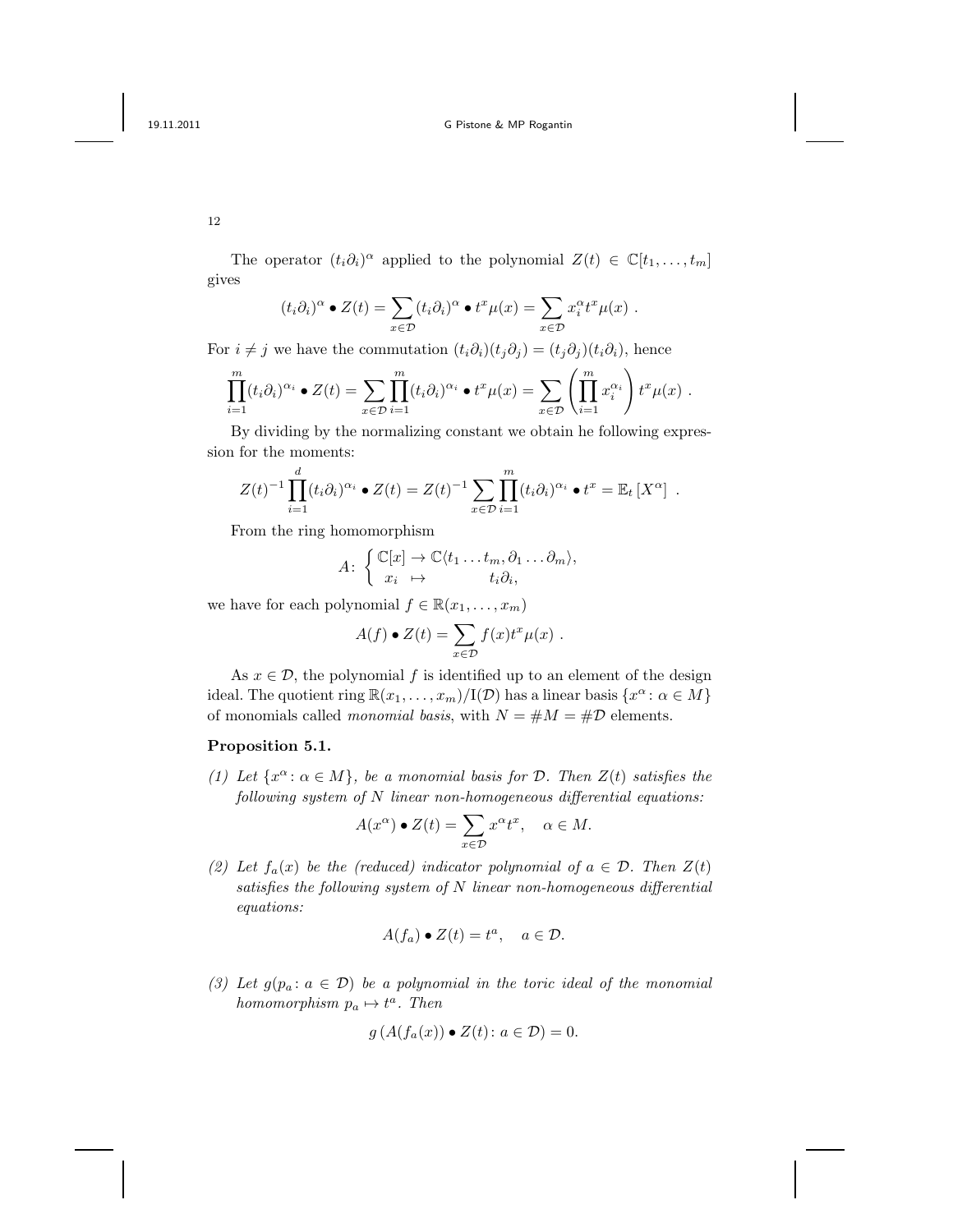The operator  $(t_i \partial_i)^\alpha$  applied to the polynomial  $Z(t) \in \mathbb{C}[t_1,\ldots,t_m]$ gives

$$
(t_i\partial_i)^\alpha \bullet Z(t) = \sum_{x \in \mathcal{D}} (t_i\partial_i)^\alpha \bullet t^x \mu(x) = \sum_{x \in \mathcal{D}} x_i^\alpha t^x \mu(x) .
$$

For  $i \neq j$  we have the commutation  $(t_i \partial_i)(t_j \partial_j) = (t_j \partial_j)(t_i \partial_i)$ , hence

$$
\prod_{i=1}^m (t_i \partial_i)^{\alpha_i} \bullet Z(t) = \sum_{x \in \mathcal{D}} \prod_{i=1}^m (t_i \partial_i)^{\alpha_i} \bullet t^x \mu(x) = \sum_{x \in \mathcal{D}} \left( \prod_{i=1}^m x_i^{\alpha_i} \right) t^x \mu(x) .
$$

By dividing by the normalizing constant we obtain he following expression for the moments:

$$
Z(t)^{-1} \prod_{i=1}^d (t_i \partial_i)^{\alpha_i} \bullet Z(t) = Z(t)^{-1} \sum_{x \in \mathcal{D}} \prod_{i=1}^m (t_i \partial_i)^{\alpha_i} \bullet t^x = \mathbb{E}_t [X^{\alpha}] .
$$

From the ring homomorphism

$$
A: \begin{cases} \mathbb{C}[x] \to \mathbb{C}\langle t_1 \dots t_m, \partial_1 \dots \partial_m \rangle, \\ x_i \mapsto t_i \partial_i, \end{cases}
$$

we have for each polynomial  $f \in \mathbb{R}(x_1, \ldots, x_m)$ 

$$
A(f) \bullet Z(t) = \sum_{x \in \mathcal{D}} f(x) t^x \mu(x) .
$$

As  $x \in \mathcal{D}$ , the polynomial f is identified up to an element of the design ideal. The quotient ring  $\mathbb{R}(x_1,\ldots,x_m)/I(\mathcal{D})$  has a linear basis  $\{x^\alpha : \alpha \in M\}$ of monomials called *monomial basis*, with  $N = #M = #D$  elements.

### Proposition 5.1.

(1) Let  $\{x^{\alpha} : \alpha \in M\}$ , be a monomial basis for D. Then  $Z(t)$  satisfies the  $following system of N linear non-homogeneous differential equations:\n $\begin{align*}\n\frac{1}{\sqrt{2\pi}} &= \frac{1}{\sqrt{2\pi}}\n\end{align*}$$ 

$$
A(x^{\alpha}) \bullet Z(t) = \sum_{x \in \mathcal{D}} x^{\alpha} t^{x}, \quad \alpha \in M.
$$

(2) Let  $f_a(x)$  be the (reduced) indicator polynomial of  $a \in \mathcal{D}$ . Then  $Z(t)$ satisfies the following system of N linear non-homogeneous differential equations:

$$
A(f_a) \bullet Z(t) = t^a, \quad a \in \mathcal{D}.
$$

(3) Let  $g(p_a: a \in \mathcal{D})$  be a polynomial in the toric ideal of the monomial homomorphism  $p_a \mapsto t^a$ . Then

$$
g(A(f_a(x)) \bullet Z(t) \colon a \in \mathcal{D}) = 0.
$$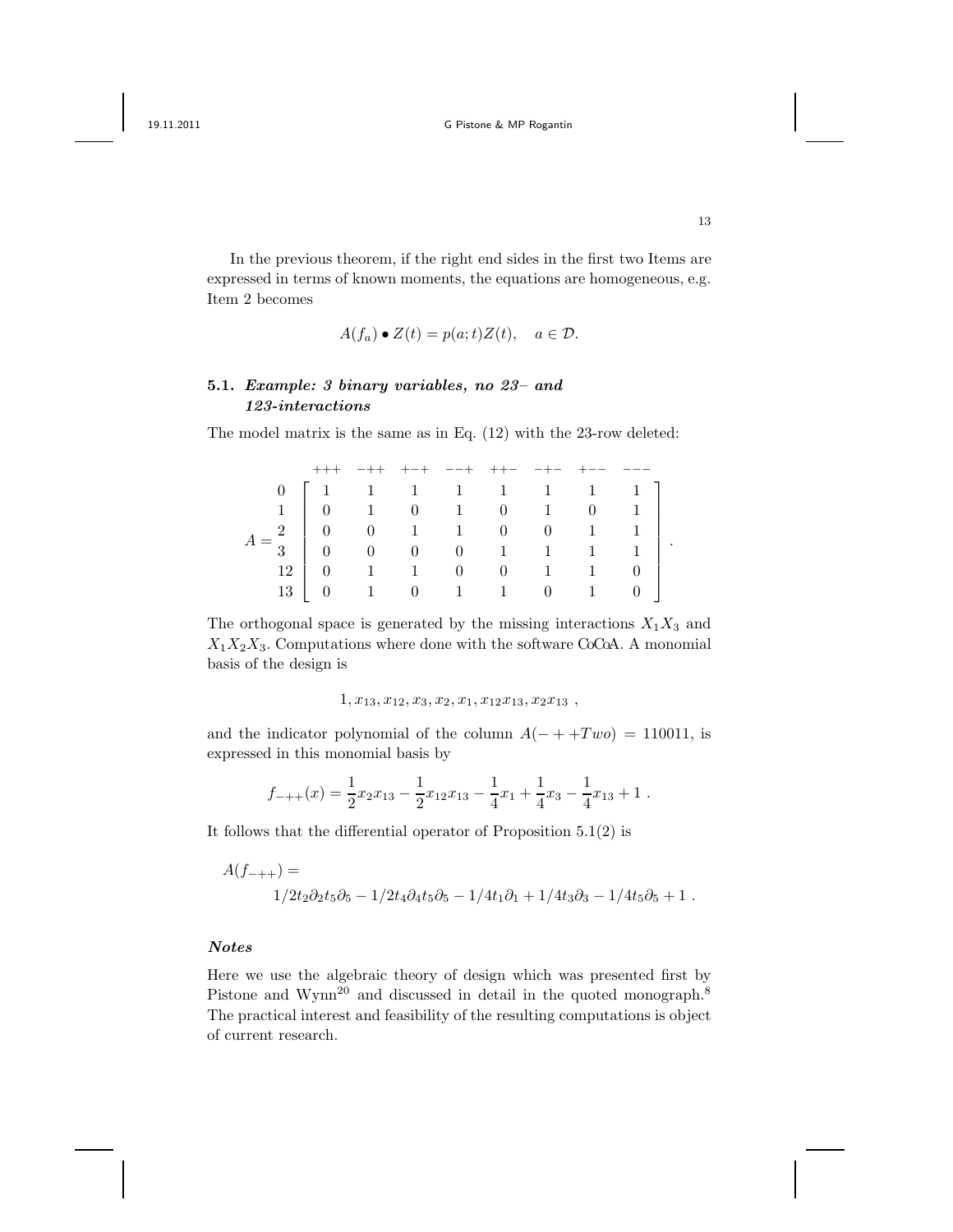In the previous theorem, if the right end sides in the first two Items are expressed in terms of known moments, the equations are homogeneous, e.g. Item 2 becomes

$$
A(f_a) \bullet Z(t) = p(a; t)Z(t), \quad a \in \mathcal{D}.
$$

# 5.1. Example: 3 binary variables, no 23– and 123-interactions

The model matrix is the same as in Eq. (12) with the 23-row deleted:

|                                                                                                                                                                                                                                                                       |  |  |  |  | $+ - +$ $- - +$ $+ +  - +  +  - -$ |  |
|-----------------------------------------------------------------------------------------------------------------------------------------------------------------------------------------------------------------------------------------------------------------------|--|--|--|--|------------------------------------|--|
| $\begin{array}{c cccccc} 0 & 1 & 1 & 1 & 1 & 1 & 1 & 1 & 1 \\ 1 & 0 & 1 & 0 & 1 & 0 & 1 & 0 & 1 \\ -2 & 0 & 0 & 1 & 1 & 0 & 0 & 1 & 1 \\ -3 & 0 & 0 & 0 & 0 & 1 & 1 & 1 & 1 \\ 12 & 0 & 1 & 1 & 0 & 0 & 1 & 1 & 0 \\ 13 & 0 & 1 & 0 & 1 & 1 & 0 & 1 & 0 \end{array}.$ |  |  |  |  |                                    |  |
|                                                                                                                                                                                                                                                                       |  |  |  |  |                                    |  |
|                                                                                                                                                                                                                                                                       |  |  |  |  |                                    |  |
|                                                                                                                                                                                                                                                                       |  |  |  |  |                                    |  |
|                                                                                                                                                                                                                                                                       |  |  |  |  |                                    |  |
|                                                                                                                                                                                                                                                                       |  |  |  |  |                                    |  |

The orthogonal space is generated by the missing interactions  $X_1X_3$  and  $X_1X_2X_3$ . Computations where done with the software CoCoA. A monomial basis of the design is

 $1, x_{13}, x_{12}, x_3, x_2, x_1, x_{12}x_{13}, x_2x_{13}$ 

and the indicator polynomial of the column  $A(- + +Two) = 110011$ , is expressed in this monomial basis by

$$
f_{-++}(x) = \frac{1}{2}x_2x_{13} - \frac{1}{2}x_{12}x_{13} - \frac{1}{4}x_1 + \frac{1}{4}x_3 - \frac{1}{4}x_{13} + 1.
$$

It follows that the differential operator of Proposition 5.1(2) is

$$
\begin{split} A(f_{-++})=&\\ &1/2t_2\partial_2t_5\partial_5-1/2t_4\partial_4t_5\partial_5-1/4t_1\partial_1+1/4t_3\partial_3-1/4t_5\partial_5+1\ . \end{split}
$$

### Notes

Here we use the algebraic theory of design which was presented first by Pistone and Wynn<sup>20</sup> and discussed in detail in the quoted monograph.<sup>8</sup> The practical interest and feasibility of the resulting computations is object of current research.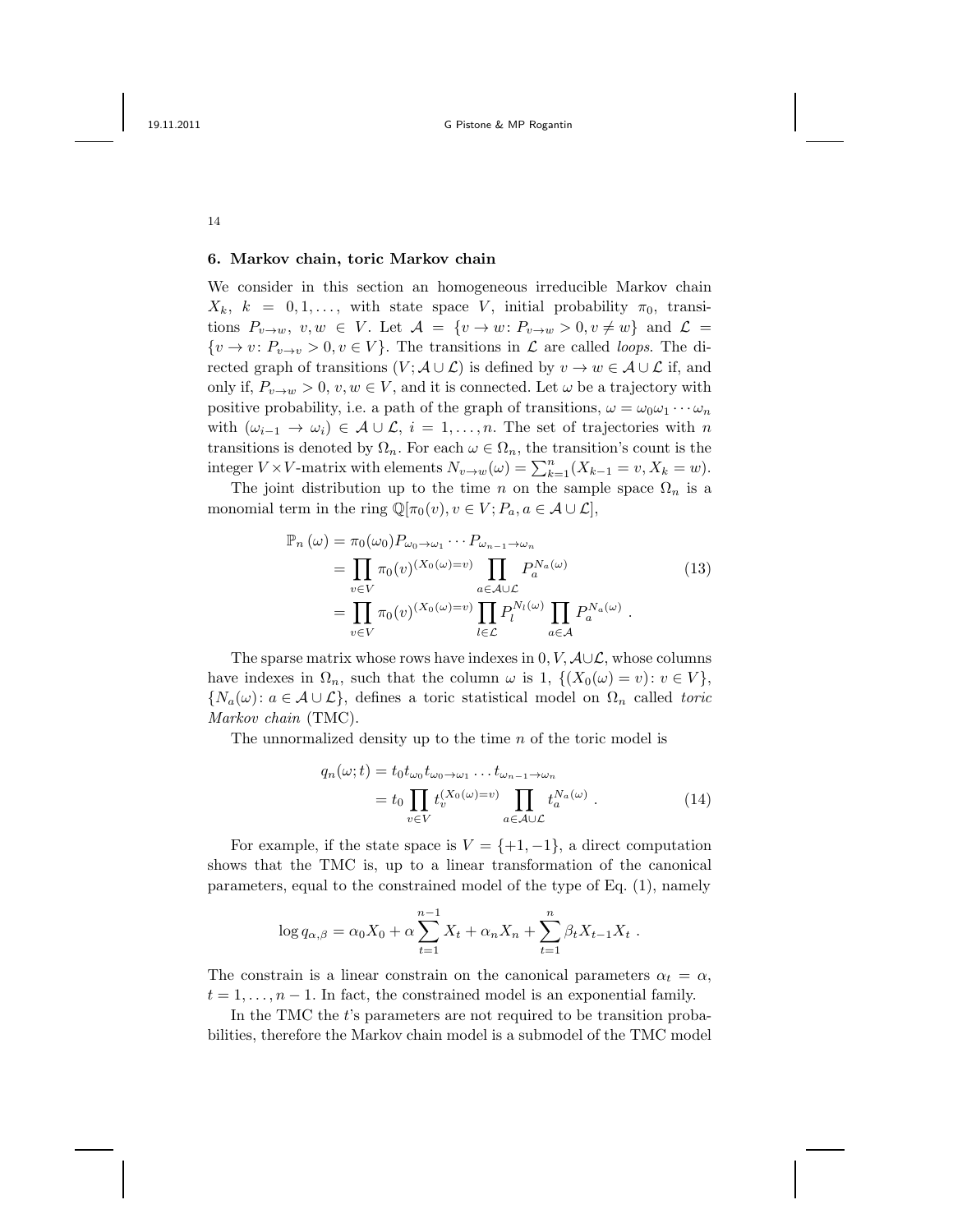## 6. Markov chain, toric Markov chain

We consider in this section an homogeneous irreducible Markov chain  $X_k$ ,  $k = 0, 1, \ldots$ , with state space V, initial probability  $\pi_0$ , transitions  $P_{v\to w}, v, w \in V$ . Let  $\mathcal{A} = \{v \to w : P_{v\to w} > 0, v \neq w\}$  and  $\mathcal{L} =$  $\{v \to v : P_{v \to v} > 0, v \in V\}$ . The transitions in  $\mathcal L$  are called *loops*. The directed graph of transitions  $(V; A \cup \mathcal{L})$  is defined by  $v \to w \in \mathcal{A} \cup \mathcal{L}$  if, and only if,  $P_{v\to w} > 0$ ,  $v, w \in V$ , and it is connected. Let  $\omega$  be a trajectory with positive probability, i.e. a path of the graph of transitions,  $\omega = \omega_0 \omega_1 \cdots \omega_n$ with  $(\omega_{i-1} \to \omega_i) \in \mathcal{A} \cup \mathcal{L}, i = 1, \ldots, n$ . The set of trajectories with n transitions is denoted by  $\Omega_n$ . For each  $\omega \in \Omega_n$ , the transition's count is the integer  $V \times V$ -matrix with elements  $N_{v \to w}(\omega) = \sum_{k=1}^{n} (X_{k-1} = v, X_k = w)$ .

The joint distribution up to the time n on the sample space  $\Omega_n$  is a monomial term in the ring  $\mathbb{Q}[\pi_0(v), v \in V; P_a, a \in \mathcal{A} \cup \mathcal{L}],$ 

$$
\mathbb{P}_n(\omega) = \pi_0(\omega_0) P_{\omega_0 \to \omega_1} \cdots P_{\omega_{n-1} \to \omega_n}
$$
  
\n
$$
= \prod_{v \in V} \pi_0(v)^{(X_0(\omega) = v)} \prod_{a \in \mathcal{A} \cup \mathcal{L}} P_a^{N_a(\omega)}
$$
  
\n
$$
= \prod_{v \in V} \pi_0(v)^{(X_0(\omega) = v)} \prod_{l \in \mathcal{L}} P_l^{N_l(\omega)} \prod_{a \in \mathcal{A}} P_a^{N_a(\omega)}.
$$
 (13)

The sparse matrix whose rows have indexes in  $0, V, \mathcal{A} \cup \mathcal{L}$ , whose columns have indexes in  $\Omega_n$ , such that the column  $\omega$  is 1,  $\{(X_0(\omega) = v): v \in V\}$ ,  $\{N_a(\omega): a \in \mathcal{A} \cup \mathcal{L}\},\$ defines a toric statistical model on  $\Omega_n$  called toric Markov chain (TMC).

The unnormalized density up to the time n of the toric model is

$$
q_n(\omega; t) = t_0 t_{\omega_0} t_{\omega_0 \to \omega_1} \dots t_{\omega_{n-1} \to \omega_n}
$$
  
=  $t_0 \prod_{v \in V} t_v^{(X_0(\omega) = v)} \prod_{a \in \mathcal{A} \cup \mathcal{L}} t_a^{N_a(\omega)}$ . (14)

For example, if the state space is  $V = \{+1, -1\}$ , a direct computation shows that the TMC is, up to a linear transformation of the canonical parameters, equal to the constrained model of the type of Eq. (1), namely

$$
\log q_{\alpha,\beta} = \alpha_0 X_0 + \alpha \sum_{t=1}^{n-1} X_t + \alpha_n X_n + \sum_{t=1}^n \beta_t X_{t-1} X_t.
$$

The constrain is a linear constrain on the canonical parameters  $\alpha_t = \alpha$ ,  $t = 1, \ldots, n-1$ . In fact, the constrained model is an exponential family.

In the TMC the t's parameters are not required to be transition probabilities, therefore the Markov chain model is a submodel of the TMC model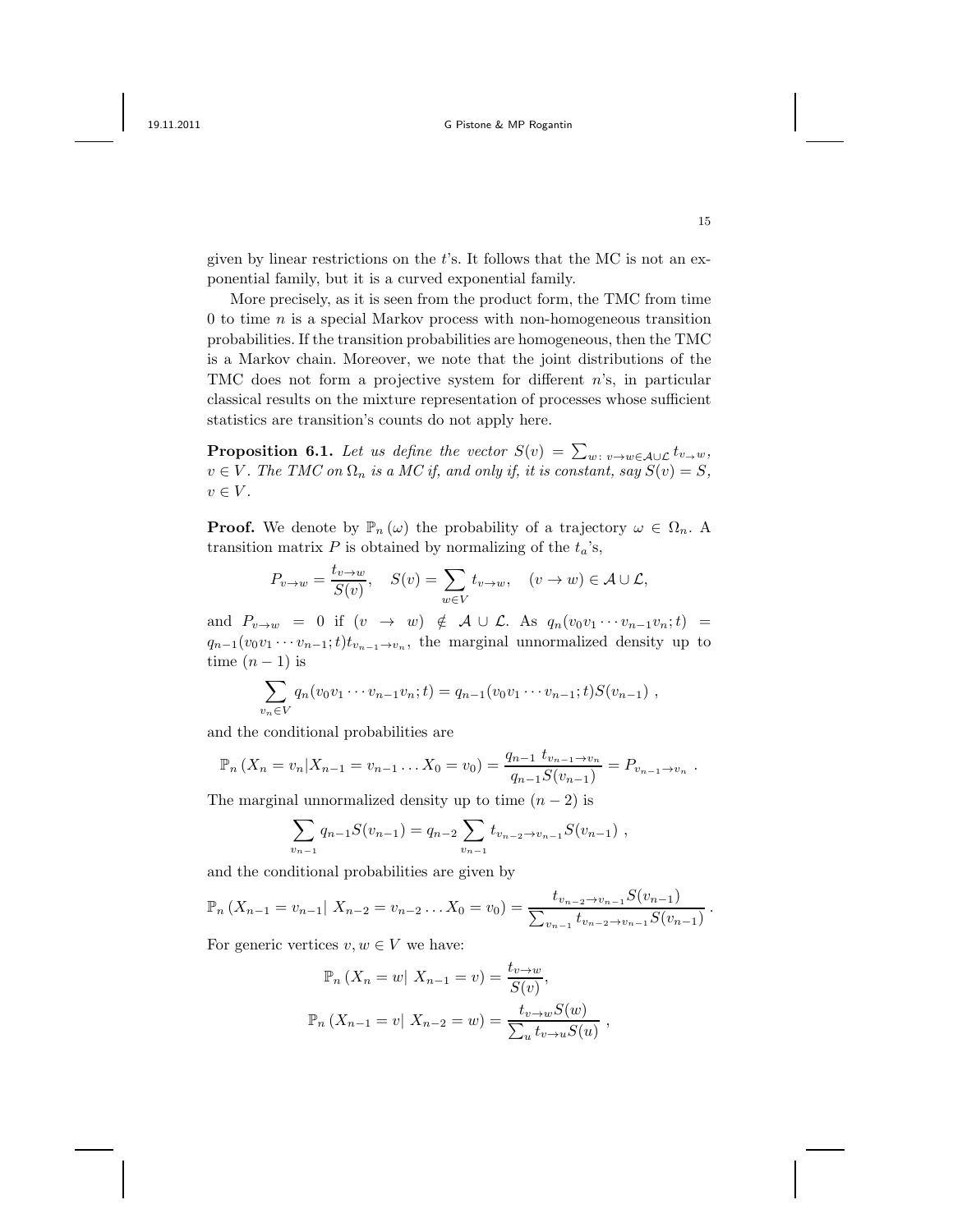given by linear restrictions on the  $t$ 's. It follows that the MC is not an exponential family, but it is a curved exponential family.

More precisely, as it is seen from the product form, the TMC from time  $0$  to time  $n$  is a special Markov process with non-homogeneous transition probabilities. If the transition probabilities are homogeneous, then the TMC is a Markov chain. Moreover, we note that the joint distributions of the TMC does not form a projective system for different n's, in particular classical results on the mixture representation of processes whose sufficient statistics are transition's counts do not apply here.

**Proposition 6.1.** Let us define the vector  $S(v) = \sum_{w \colon v \to w \in A \cup L} t_{v \to w}$ ,  $v \in V$ . The TMC on  $\Omega_n$  is a MC if, and only if, it is constant, say  $S(v) = S$ ,  $v \in V$ .

**Proof.** We denote by  $\mathbb{P}_n(\omega)$  the probability of a trajectory  $\omega \in \Omega_n$ . A transition matrix  $P$  is obtained by normalizing of the  $t_a$ 's,

$$
P_{v \to w} = \frac{t_{v \to w}}{S(v)}, \quad S(v) = \sum_{w \in V} t_{v \to w}, \quad (v \to w) \in \mathcal{A} \cup \mathcal{L},
$$

and  $P_{v\to w} = 0$  if  $(v \to w) \notin \mathcal{A} \cup \mathcal{L}$ . As  $q_n(v_0v_1 \cdots v_{n-1}v_n; t) =$  $q_{n-1}(v_0v_1\cdots v_{n-1};t)t_{v_{n-1}\to v_n}$ , the marginal unnormalized density up to time  $(n-1)$  is

$$
\sum_{v_n \in V} q_n(v_0v_1 \cdots v_{n-1}v_n;t) = q_{n-1}(v_0v_1 \cdots v_{n-1};t)S(v_{n-1}),
$$

and the conditional probabilities are

$$
\mathbb{P}_n(X_n = v_n | X_{n-1} = v_{n-1} \dots X_0 = v_0) = \frac{q_{n-1} t_{v_{n-1} \to v_n}}{q_{n-1} S(v_{n-1})} = P_{v_{n-1} \to v_n}.
$$

The marginal unnormalized density up to time  $(n-2)$  is

$$
\sum_{v_{n-1}} q_{n-1} S(v_{n-1}) = q_{n-2} \sum_{v_{n-1}} t_{v_{n-2} \to v_{n-1}} S(v_{n-1}),
$$

and the conditional probabilities are given by

$$
\mathbb{P}_n(X_{n-1}=v_{n-1}|X_{n-2}=v_{n-2}\ldots X_0=v_0)=\frac{t_{v_{n-2}\to v_{n-1}}S(v_{n-1})}{\sum_{v_{n-1}}t_{v_{n-2}\to v_{n-1}}S(v_{n-1})}.
$$

For generic vertices  $v, w \in V$  we have:

$$
\mathbb{P}_n (X_n = w | X_{n-1} = v) = \frac{t_{v \to w}}{S(v)},
$$
  

$$
\mathbb{P}_n (X_{n-1} = v | X_{n-2} = w) = \frac{t_{v \to w} S(w)}{\sum_u t_{v \to u} S(u)},
$$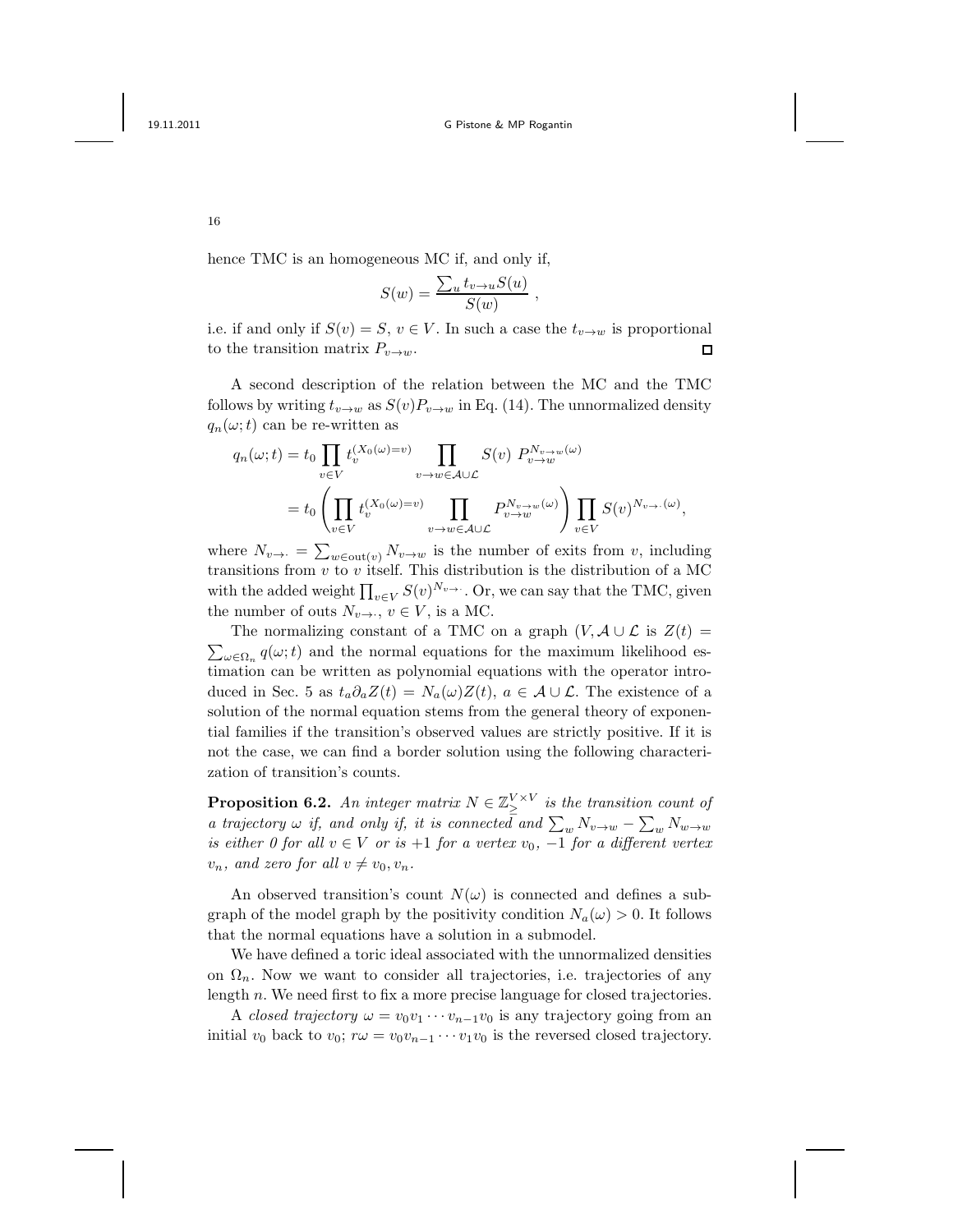,

16

hence TMC is an homogeneous MC if, and only if,

$$
S(w) = \frac{\sum_{u} t_{v \to u} S(u)}{S(w)}
$$

i.e. if and only if  $S(v) = S$ ,  $v \in V$ . In such a case the  $t_{v\to w}$  is proportional to the transition matrix  $P_{v\to w}$ .  $\Box$ 

A second description of the relation between the MC and the TMC follows by writing  $t_{v\to w}$  as  $S(v)P_{v\to w}$  in Eq. (14). The unnormalized density  $q_n(\omega; t)$  can be re-written as

$$
q_n(\omega;t) = t_0 \prod_{v \in V} t_v^{(X_0(\omega) = v)} \prod_{v \to w \in \mathcal{A} \cup \mathcal{L}} S(v) P_{v \to w}^{N_{v \to w}(\omega)}
$$
  
= 
$$
t_0 \left( \prod_{v \in V} t_v^{(X_0(\omega) = v)} \prod_{v \to w \in \mathcal{A} \cup \mathcal{L}} P_{v \to w}^{N_{v \to w}(\omega)} \right) \prod_{v \in V} S(v)^{N_{v \to \cdot}(\omega)},
$$

where  $N_{v\rightarrow \cdot} = \sum_{w\in \text{out}(v)} N_{v\rightarrow w}$  is the number of exits from v, including transitions from  $v$  to  $v$  itself. This distribution is the distribution of a MC with the added weight  $\prod_{v \in V} S(v)^{N_v}$ . Or, we can say that the TMC, given the number of outs  $N_{v\rightarrow v}$ ,  $v \in V$ , is a MC.

The normalizing constant of a TMC on a graph  $(V, A \cup \mathcal{L}$  is  $Z(t) =$  $\sum_{\omega \in \Omega_n} q(\omega; t)$  and the normal equations for the maximum likelihood estimation can be written as polynomial equations with the operator introduced in Sec. 5 as  $t_a \partial_a Z(t) = N_a(\omega) Z(t)$ ,  $a \in \mathcal{A} \cup \mathcal{L}$ . The existence of a solution of the normal equation stems from the general theory of exponential families if the transition's observed values are strictly positive. If it is not the case, we can find a border solution using the following characterization of transition's counts.

**Proposition 6.2.** An integer matrix  $N \in \mathbb{Z}_\geq^{\text{V} \times \text{V}}$  is the transition count of a trajectory  $\omega$  if, and only if, it is connected and  $\sum_{w} N_{v \to w} - \sum_{w} N_{w \to w}$ is either 0 for all  $v \in V$  or is  $+1$  for a vertex  $v_0$ ,  $-1$  for a different vertex  $v_n$ , and zero for all  $v \neq v_0, v_n$ .

An observed transition's count  $N(\omega)$  is connected and defines a subgraph of the model graph by the positivity condition  $N_a(\omega) > 0$ . It follows that the normal equations have a solution in a submodel.

We have defined a toric ideal associated with the unnormalized densities on  $\Omega_n$ . Now we want to consider all trajectories, i.e. trajectories of any length n. We need first to fix a more precise language for closed trajectories.

A closed trajectory  $\omega = v_0v_1 \cdots v_{n-1}v_0$  is any trajectory going from an initial  $v_0$  back to  $v_0$ ;  $r\omega = v_0v_{n-1}\cdots v_1v_0$  is the reversed closed trajectory.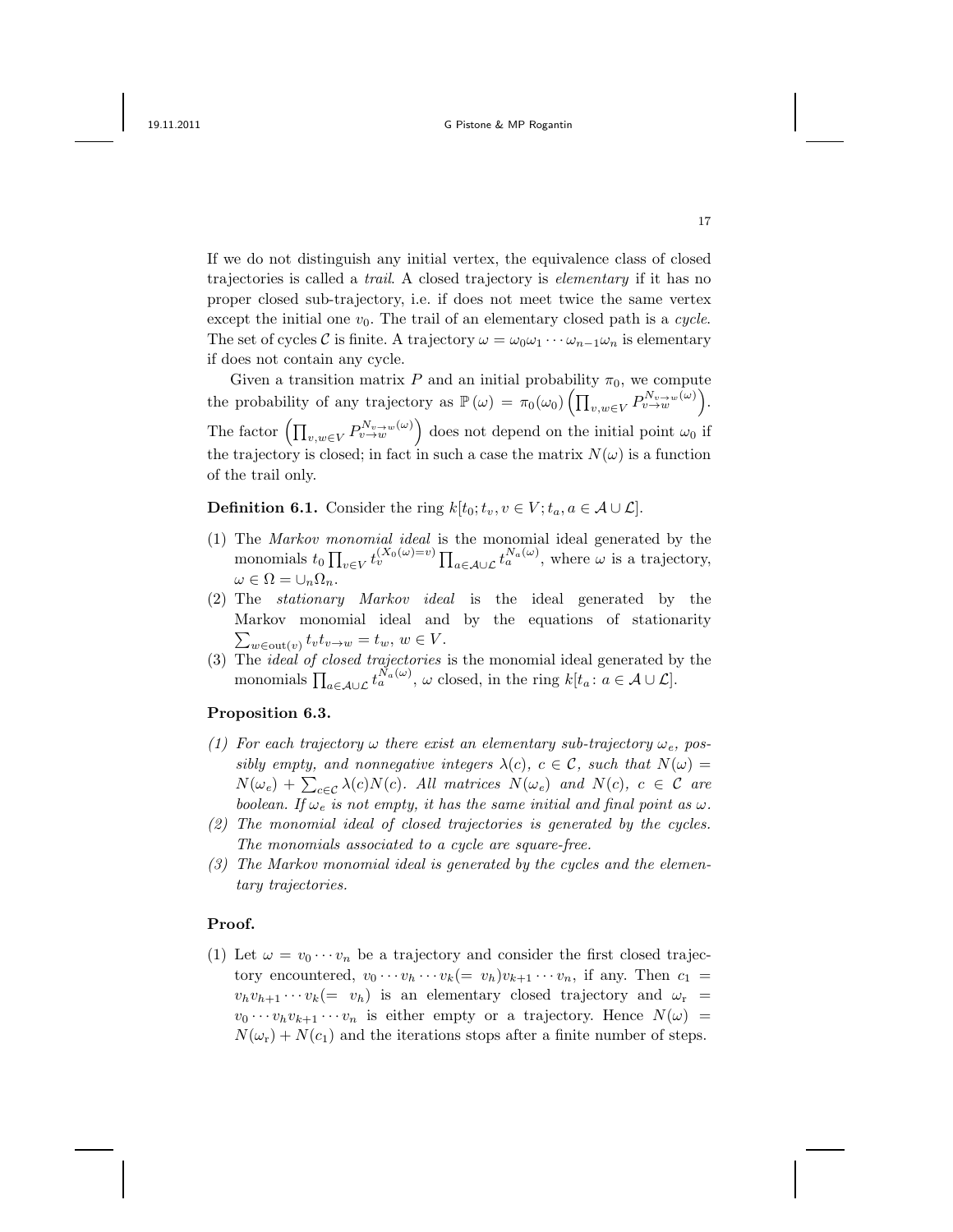If we do not distinguish any initial vertex, the equivalence class of closed trajectories is called a trail. A closed trajectory is elementary if it has no proper closed sub-trajectory, i.e. if does not meet twice the same vertex except the initial one  $v_0$ . The trail of an elementary closed path is a *cycle*. The set of cycles C is finite. A trajectory  $\omega = \omega_0 \omega_1 \cdots \omega_{n-1} \omega_n$  is elementary if does not contain any cycle.

Given a transition matrix P and an initial probability  $\pi_0$ , we compute the probability of any trajectory as  $\mathbb{P}(\omega) = \pi_0(\omega_0) \left( \prod_{v,w \in V} P_{v \to w}^{N_v \to w}(\omega) \right)$ . The factor  $\left(\prod_{v,w\in V} P_{v\to w}^{N_{v\to w}(\omega)}\right)$  does not depend on the initial point  $\omega_0$  if the trajectory is closed; in fact in such a case the matrix  $N(\omega)$  is a function of the trail only.

**Definition 6.1.** Consider the ring  $k[t_0; t_v, v \in V; t_a, a \in A \cup L]$ .

- (1) The Markov monomial ideal is the monomial ideal generated by the monomials  $t_0 \prod_{v \in V} t_v^{(X_0(\omega)=v)} \prod_{a \in \mathcal{A} \cup \mathcal{L}} t_a^{N_a(\omega)}$ , where  $\omega$  is a trajectory,  $\omega \in \Omega = \cup_n \Omega_n$ .
- (2) The stationary Markov ideal is the ideal generated by the Markov monomial ideal and by the equations of stationarity  $\sum_{w \in \text{out}(v)} t_v t_{v \to w} = t_w, w \in V.$
- (3) The ideal of closed trajectories is the monomial ideal generated by the monomials  $\prod_{a\in\mathcal{A}\cup\mathcal{L}}t_a^{N_a(\omega)}, \omega$  closed, in the ring  $k[t_a: a\in\mathcal{A}\cup\mathcal{L}].$

### Proposition 6.3.

- (1) For each trajectory  $\omega$  there exist an elementary sub-trajectory  $\omega_e$ , possibly empty, and nonnegative integers  $\lambda(c)$ ,  $c \in \mathcal{C}$ , such that  $N(\omega) =$  $N(\omega_e) + \sum_{c \in \mathcal{C}} \lambda(c) N(c)$ . All matrices  $N(\omega_e)$  and  $N(c)$ ,  $c \in \mathcal{C}$  are boolean. If  $\omega_e$  is not empty, it has the same initial and final point as  $\omega$ .
- (2) The monomial ideal of closed trajectories is generated by the cycles. The monomials associated to a cycle are square-free.
- (3) The Markov monomial ideal is generated by the cycles and the elementary trajectories.

### Proof.

(1) Let  $\omega = v_0 \cdots v_n$  be a trajectory and consider the first closed trajectory encountered,  $v_0 \cdots v_h \cdots v_k (= v_h)v_{k+1} \cdots v_n$ , if any. Then  $c_1 =$  $v_h v_{h+1} \cdots v_k (= v_h)$  is an elementary closed trajectory and  $\omega_r =$  $v_0 \cdots v_h v_{k+1} \cdots v_n$  is either empty or a trajectory. Hence  $N(\omega)$  =  $N(\omega_{\rm r}) + N(c_1)$  and the iterations stops after a finite number of steps.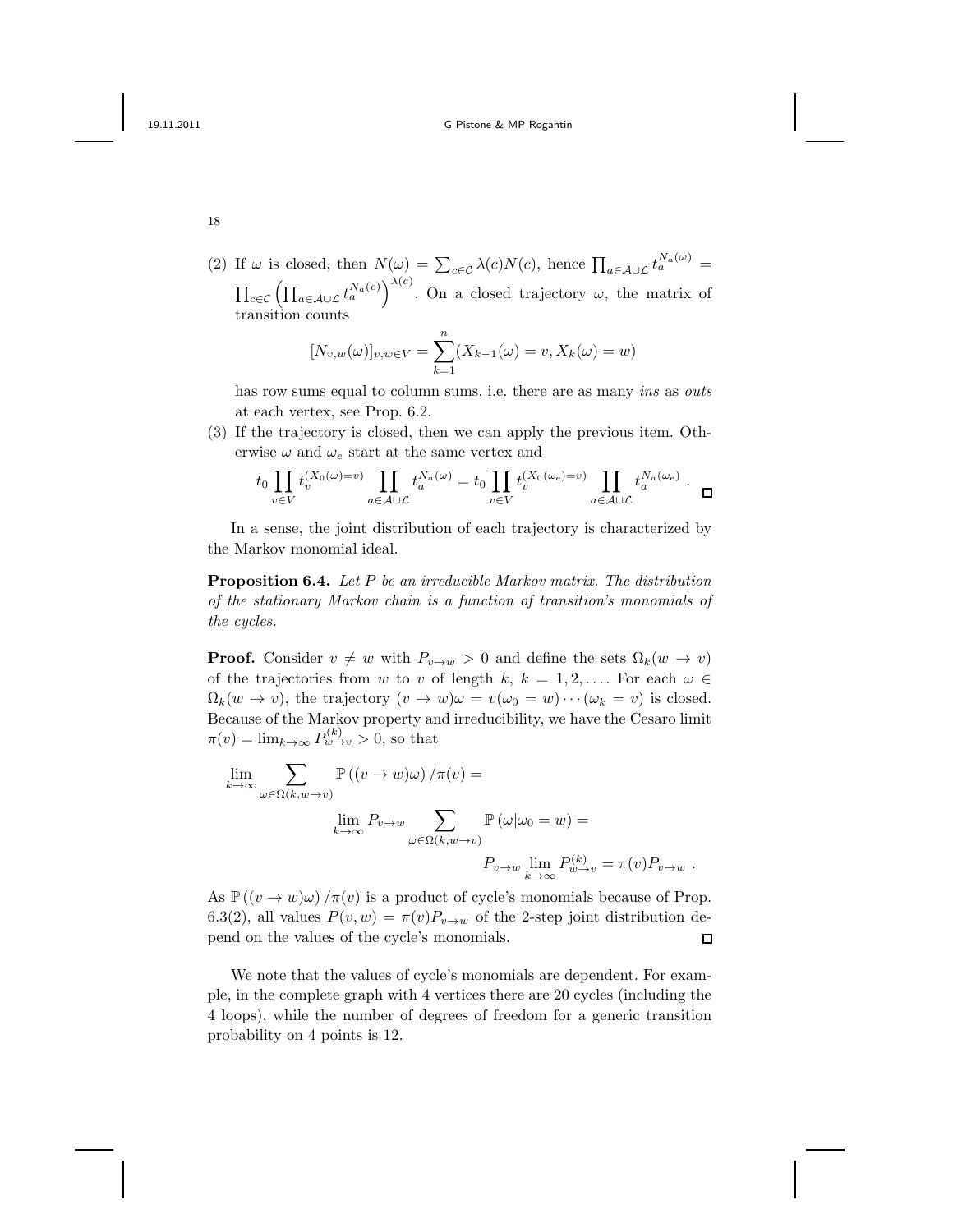18

(2) If  $\omega$  is closed, then  $N(\omega) = \sum_{c \in \mathcal{C}} \lambda(c) N(c)$ , hence  $\prod_{a \in \mathcal{A} \cup \mathcal{L}} t_a^{N_a(\omega)} =$  $\prod_{c\in\mathcal{C}}\left(\prod_{a\in\mathcal{A}\cup\mathcal{L}}t_a^{N_a(c)}\right)^{\lambda(c)}$ . On a closed trajectory  $\omega$ , the matrix of transition counts

$$
[N_{v,w}(\omega)]_{v,w \in V} = \sum_{k=1}^{n} (X_{k-1}(\omega) = v, X_k(\omega) = w)
$$

has row sums equal to column sums, i.e. there are as many ins as outs at each vertex, see Prop. 6.2.

(3) If the trajectory is closed, then we can apply the previous item. Otherwise  $\omega$  and  $\omega_e$  start at the same vertex and

$$
t_0 \prod_{v \in V} t_v^{(X_0(\omega) = v)} \prod_{a \in \mathcal{A} \cup \mathcal{L}} t_a^{N_a(\omega)} = t_0 \prod_{v \in V} t_v^{(X_0(\omega_e) = v)} \prod_{a \in \mathcal{A} \cup \mathcal{L}} t_a^{N_a(\omega_e)} \cdot \square
$$

In a sense, the joint distribution of each trajectory is characterized by the Markov monomial ideal.

Proposition 6.4. Let P be an irreducible Markov matrix. The distribution of the stationary Markov chain is a function of transition's monomials of the cycles.

**Proof.** Consider  $v \neq w$  with  $P_{v\to w} > 0$  and define the sets  $\Omega_k(w \to v)$ of the trajectories from w to v of length k,  $k = 1, 2, \ldots$  For each  $\omega \in$  $\Omega_k(w \to v)$ , the trajectory  $(v \to w)\omega = v(\omega_0 = w) \cdots (\omega_k = v)$  is closed. Because of the Markov property and irreducibility, we have the Cesaro limit  $\pi(v) = \lim_{k \to \infty} P_{w \to v}^{(k)} > 0$ , so that

$$
\lim_{k \to \infty} \sum_{\omega \in \Omega(k, w \to v)} \mathbb{P}\left((v \to w)\omega\right) / \pi(v) =
$$
\n
$$
\lim_{k \to \infty} P_{v \to w} \sum_{\omega \in \Omega(k, w \to v)} \mathbb{P}\left(\omega|\omega_0 = w\right) =
$$
\n
$$
P_{v \to w} \lim_{k \to \infty} P_{w \to v}^{(k)} = \pi(v)P_{v \to w}.
$$

As  $\mathbb{P}((v \to w)\omega)/\pi(v)$  is a product of cycle's monomials because of Prop. 6.3(2), all values  $P(v, w) = \pi(v)P_{v \to w}$  of the 2-step joint distribution depend on the values of the cycle's monomials.  $\Box$ 

We note that the values of cycle's monomials are dependent. For example, in the complete graph with 4 vertices there are 20 cycles (including the 4 loops), while the number of degrees of freedom for a generic transition probability on 4 points is 12.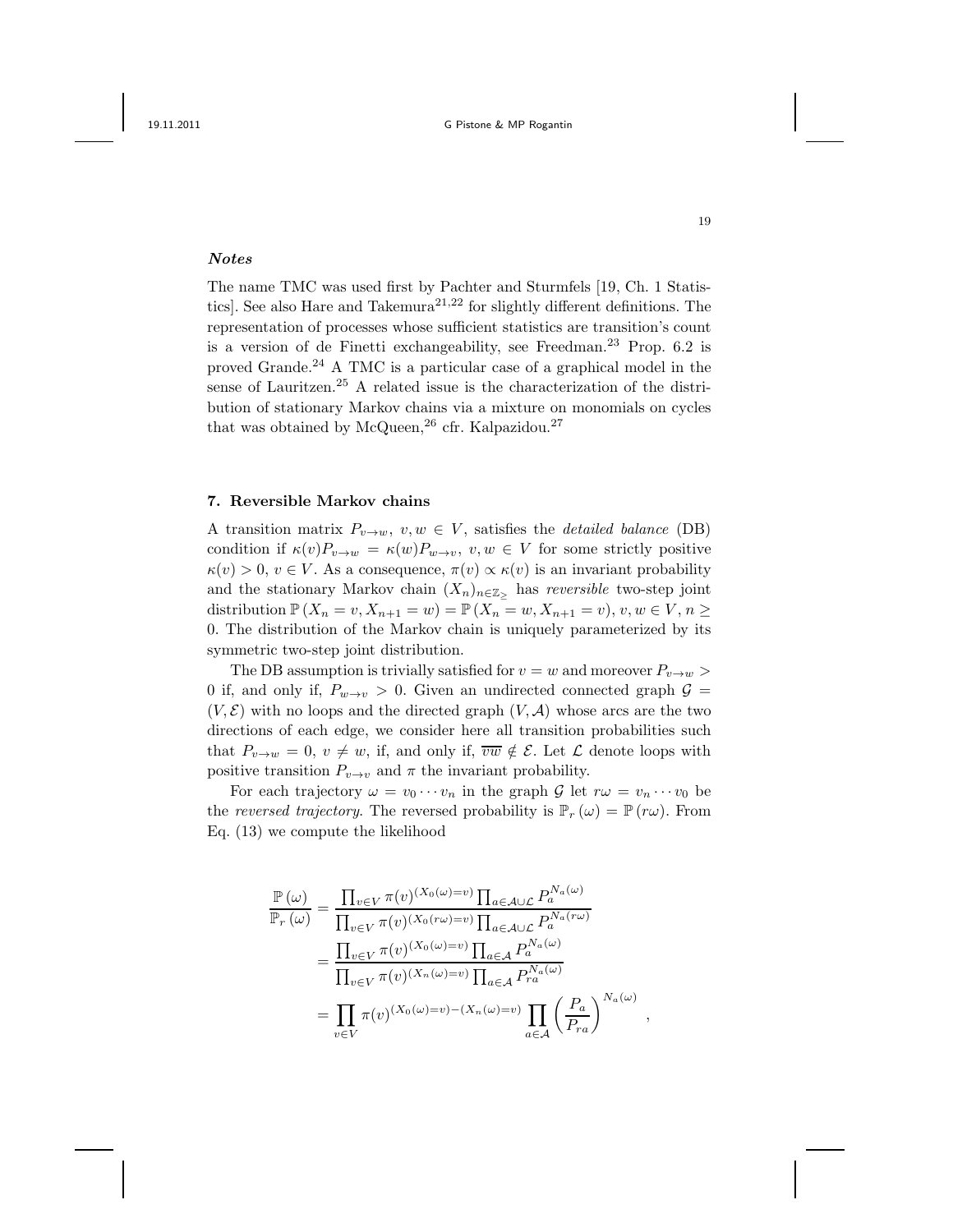# Notes

The name TMC was used first by Pachter and Sturmfels [19, Ch. 1 Statistics]. See also Hare and Takemura<sup>21,22</sup> for slightly different definitions. The representation of processes whose sufficient statistics are transition's count is a version of de Finetti exchangeability, see Freedman.<sup>23</sup> Prop.  $6.2$  is proved Grande.<sup>24</sup> A TMC is a particular case of a graphical model in the sense of Lauritzen.<sup>25</sup> A related issue is the characterization of the distribution of stationary Markov chains via a mixture on monomials on cycles that was obtained by McQueen,  $^{26}$  cfr. Kalpazidou.<sup>27</sup>

## 7. Reversible Markov chains

A transition matrix  $P_{v\to w}$ ,  $v, w \in V$ , satisfies the *detailed balance* (DB) condition if  $\kappa(v)P_{v\to w} = \kappa(w)P_{w\to v}, v, w \in V$  for some strictly positive  $\kappa(v) > 0, v \in V$ . As a consequence,  $\pi(v) \propto \kappa(v)$  is an invariant probability and the stationary Markov chain  $(X_n)_{n\in\mathbb{Z}_>}$  has reversible two-step joint distribution  $\mathbb{P}(X_n = v, X_{n+1} = w) = \mathbb{P}(X_n = w, X_{n+1} = v), v, w \in V, n \geq 0$ 0. The distribution of the Markov chain is uniquely parameterized by its symmetric two-step joint distribution.

The DB assumption is trivially satisfied for  $v = w$  and moreover  $P_{v \to w}$ 0 if, and only if,  $P_{w\to v} > 0$ . Given an undirected connected graph  $\mathcal{G} =$  $(V, \mathcal{E})$  with no loops and the directed graph  $(V, \mathcal{A})$  whose arcs are the two directions of each edge, we consider here all transition probabilities such that  $P_{v\to w} = 0, v \neq w$ , if, and only if,  $\overline{vw} \notin \mathcal{E}$ . Let  $\mathcal L$  denote loops with positive transition  $P_{v\to v}$  and  $\pi$  the invariant probability.

For each trajectory  $\omega = v_0 \cdots v_n$  in the graph G let  $r\omega = v_n \cdots v_0$  be the reversed trajectory. The reversed probability is  $\mathbb{P}_r(\omega) = \mathbb{P}(r\omega)$ . From Eq. (13) we compute the likelihood

$$
\frac{\mathbb{P}(\omega)}{\mathbb{P}_r(\omega)} = \frac{\prod_{v \in V} \pi(v)^{(X_0(\omega) = v)} \prod_{a \in \mathcal{A} \cup \mathcal{L}} P_a^{N_a(\omega)}}{\prod_{v \in V} \pi(v)^{(X_0(r\omega) = v)} \prod_{a \in \mathcal{A} \cup \mathcal{L}} P_a^{N_a(r\omega)}}
$$
\n
$$
= \frac{\prod_{v \in V} \pi(v)^{(X_0(\omega) = v)} \prod_{a \in \mathcal{A}} P_a^{N_a(\omega)}}{\prod_{v \in V} \pi(v)^{(X_n(\omega) = v)} \prod_{a \in \mathcal{A}} P_a^{N_a(\omega)}}
$$
\n
$$
= \prod_{v \in V} \pi(v)^{(X_0(\omega) = v) - (X_n(\omega) = v)} \prod_{a \in \mathcal{A}} \left(\frac{P_a}{P_{ra}}\right)^{N_a(\omega)}
$$

,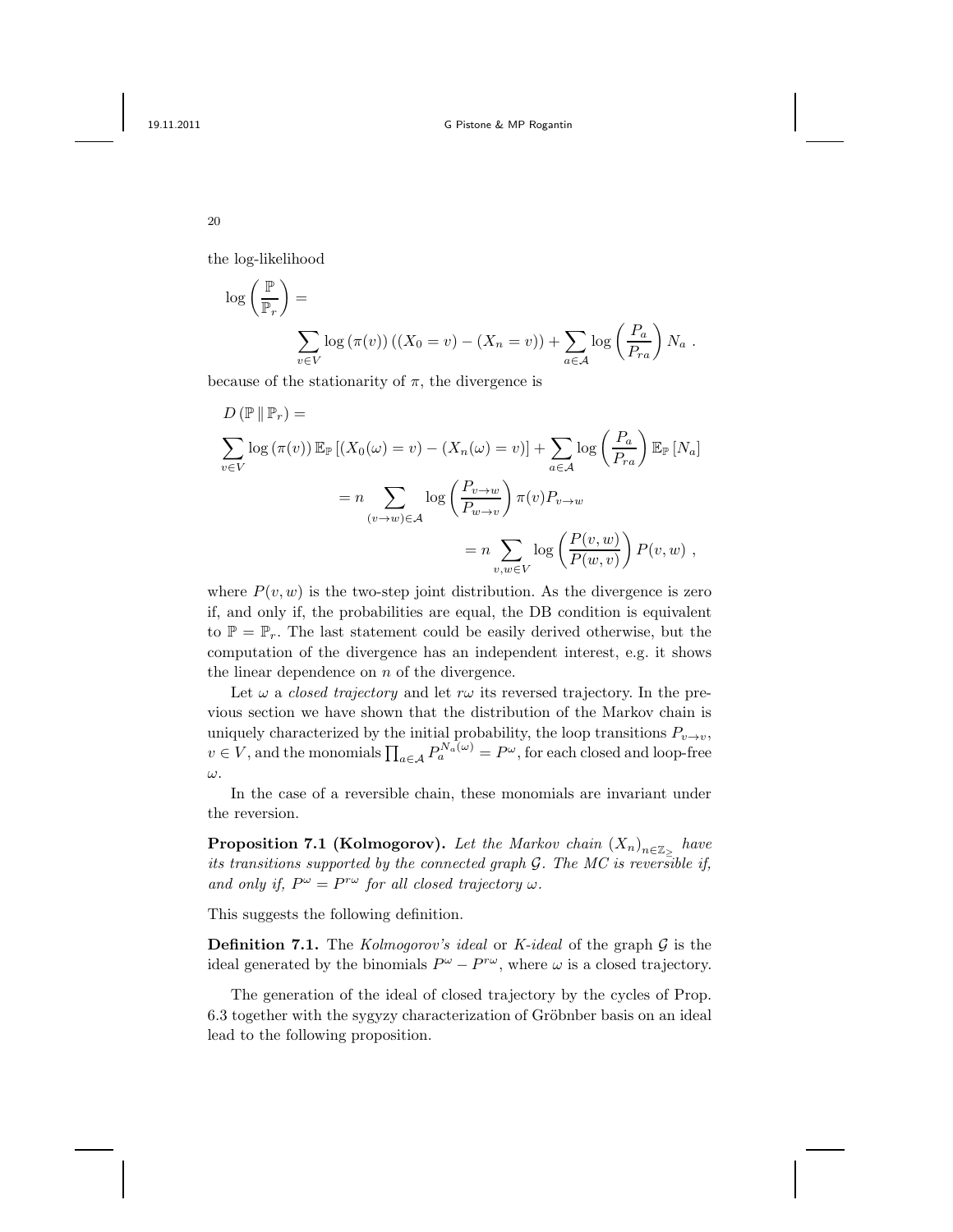the log-likelihood

$$
\log\left(\frac{\mathbb{P}}{\mathbb{P}_r}\right) = \sum_{v \in V} \log(\pi(v)) \left( (X_0 = v) - (X_n = v) \right) + \sum_{a \in \mathcal{A}} \log\left(\frac{P_a}{P_{ra}}\right) N_a.
$$

because of the stationarity of  $\pi$ , the divergence is

$$
D (\mathbb{P} \| \mathbb{P}_r) =
$$
  

$$
\sum_{v \in V} \log (\pi(v)) \mathbb{E}_{\mathbb{P}} [(X_0(\omega) = v) - (X_n(\omega) = v)] + \sum_{a \in \mathcal{A}} \log \left( \frac{P_a}{P_{ra}} \right) \mathbb{E}_{\mathbb{P}} [N_a]
$$
  

$$
= n \sum_{(v \to w) \in \mathcal{A}} \log \left( \frac{P_{v \to w}}{P_{w \to v}} \right) \pi(v) P_{v \to w}
$$
  

$$
= n \sum_{v, w \in V} \log \left( \frac{P(v, w)}{P(w, v)} \right) P(v, w),
$$

where  $P(v, w)$  is the two-step joint distribution. As the divergence is zero if, and only if, the probabilities are equal, the DB condition is equivalent to  $\mathbb{P} = \mathbb{P}_r$ . The last statement could be easily derived otherwise, but the computation of the divergence has an independent interest, e.g. it shows the linear dependence on  $n$  of the divergence.

Let  $\omega$  a *closed trajectory* and let  $r\omega$  its reversed trajectory. In the previous section we have shown that the distribution of the Markov chain is uniquely characterized by the initial probability, the loop transitions  $P_{v\to v}$ ,  $v \in V$ , and the monomials  $\prod_{a \in A} P_a^{N_a(\omega)} = P^{\omega}$ , for each closed and loop-free ω.

In the case of a reversible chain, these monomials are invariant under the reversion.

**Proposition 7.1 (Kolmogorov).** Let the Markov chain  $(X_n)_{n \in \mathbb{Z}_{\geq}}$  have its transitions supported by the connected graph  $G$ . The MC is reversible if, and only if,  $P^{\omega} = P^{r\omega}$  for all closed trajectory  $\omega$ .

This suggests the following definition.

**Definition 7.1.** The Kolmogorov's ideal or K-ideal of the graph  $\mathcal G$  is the ideal generated by the binomials  $P^{\omega} - P^{r\omega}$ , where  $\omega$  is a closed trajectory.

The generation of the ideal of closed trajectory by the cycles of Prop. 6.3 together with the sygyzy characterization of Gröbnber basis on an ideal lead to the following proposition.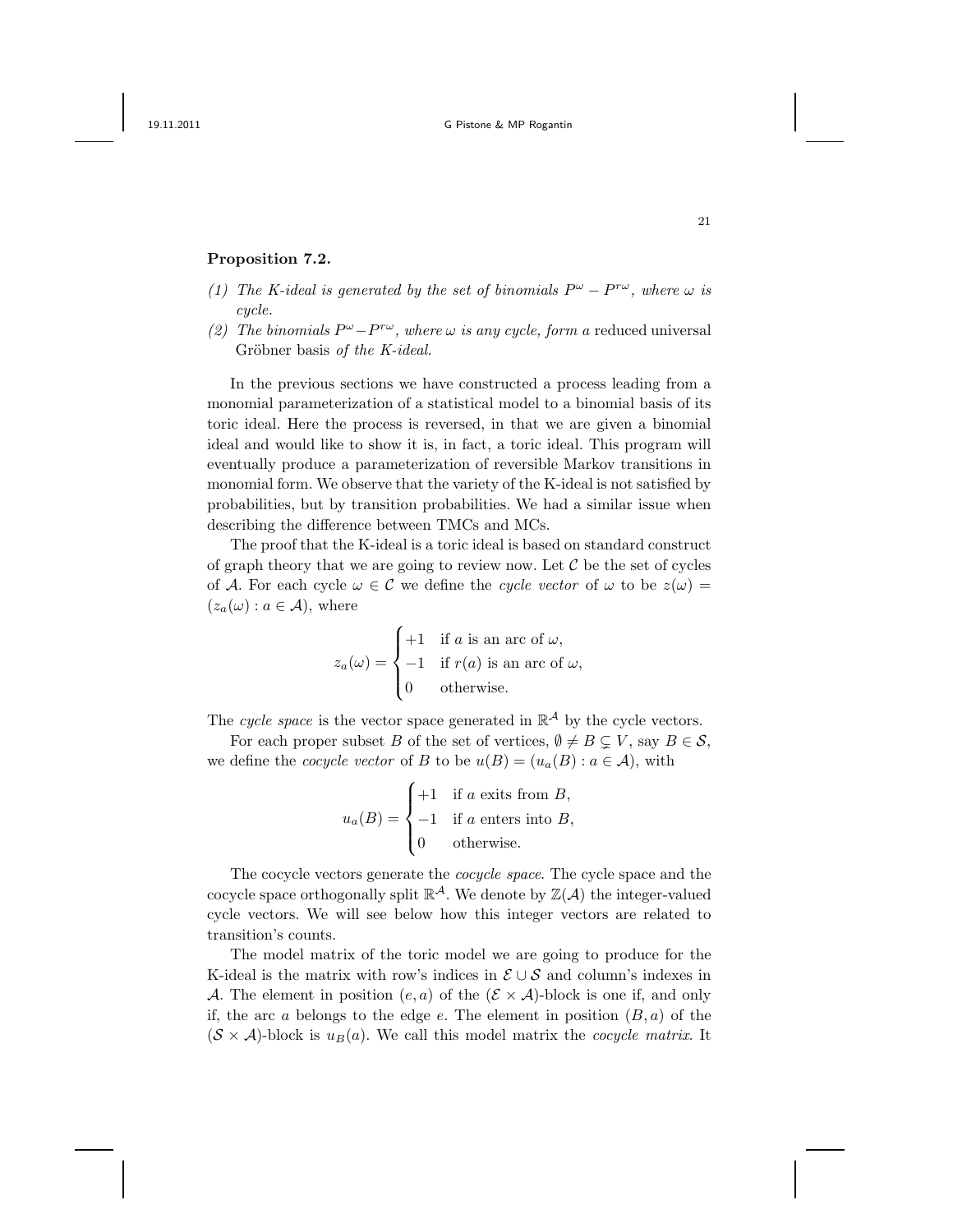### Proposition 7.2.

- (1) The K-ideal is generated by the set of binomials  $P^{\omega} P^{r\omega}$ , where  $\omega$  is cycle.
- (2) The binomials  $P^{\omega} P^{r\omega}$ , where  $\omega$  is any cycle, form a reduced universal Gröbner basis of the K-ideal.

In the previous sections we have constructed a process leading from a monomial parameterization of a statistical model to a binomial basis of its toric ideal. Here the process is reversed, in that we are given a binomial ideal and would like to show it is, in fact, a toric ideal. This program will eventually produce a parameterization of reversible Markov transitions in monomial form. We observe that the variety of the K-ideal is not satisfied by probabilities, but by transition probabilities. We had a similar issue when describing the difference between TMCs and MCs.

The proof that the K-ideal is a toric ideal is based on standard construct of graph theory that we are going to review now. Let  $\mathcal C$  be the set of cycles of A. For each cycle  $\omega \in \mathcal{C}$  we define the cycle vector of  $\omega$  to be  $z(\omega) =$  $(z_a(\omega) : a \in \mathcal{A})$ , where

$$
z_a(\omega) = \begin{cases} +1 & \text{if } a \text{ is an arc of } \omega, \\ -1 & \text{if } r(a) \text{ is an arc of } \omega, \\ 0 & \text{otherwise.} \end{cases}
$$

The cycle space is the vector space generated in  $\mathbb{R}^{\mathcal{A}}$  by the cycle vectors.

For each proper subset B of the set of vertices,  $\emptyset \neq B \subseteq V$ , say  $B \in \mathcal{S}$ , we define the *cocycle vector* of B to be  $u(B) = (u_a(B) : a \in \mathcal{A})$ , with

$$
u_a(B) = \begin{cases} +1 & \text{if } a \text{ exits from } B, \\ -1 & \text{if } a \text{ enters into } B, \\ 0 & \text{otherwise.} \end{cases}
$$

The cocycle vectors generate the cocycle space. The cycle space and the cocycle space orthogonally split  $\mathbb{R}^{\mathcal{A}}$ . We denote by  $\mathbb{Z}(\mathcal{A})$  the integer-valued cycle vectors. We will see below how this integer vectors are related to transition's counts.

The model matrix of the toric model we are going to produce for the K-ideal is the matrix with row's indices in  $\mathcal{E} \cup \mathcal{S}$  and column's indexes in A. The element in position  $(e, a)$  of the  $(\mathcal{E} \times \mathcal{A})$ -block is one if, and only if, the arc a belongs to the edge e. The element in position  $(B, a)$  of the  $(S \times A)$ -block is  $u_B(a)$ . We call this model matrix the *cocycle matrix*. It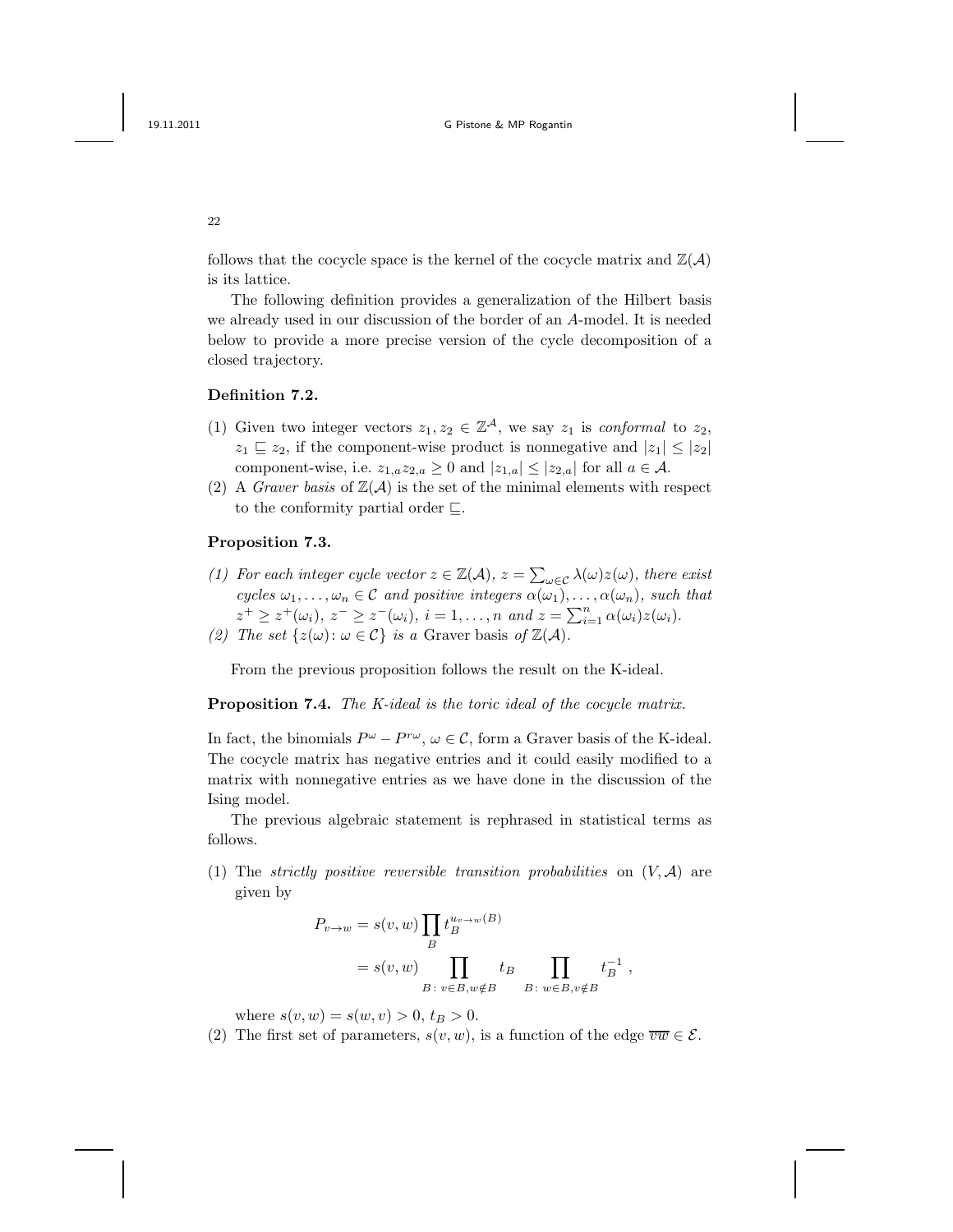follows that the cocycle space is the kernel of the cocycle matrix and  $\mathbb{Z}(\mathcal{A})$ is its lattice.

The following definition provides a generalization of the Hilbert basis we already used in our discussion of the border of an A-model. It is needed below to provide a more precise version of the cycle decomposition of a closed trajectory.

## Definition 7.2.

- (1) Given two integer vectors  $z_1, z_2 \in \mathbb{Z}^{\mathcal{A}}$ , we say  $z_1$  is conformal to  $z_2$ ,  $z_1 \subseteq z_2$ , if the component-wise product is nonnegative and  $|z_1| \leq |z_2|$ component-wise, i.e.  $z_{1,a}z_{2,a} \geq 0$  and  $|z_{1,a}| \leq |z_{2,a}|$  for all  $a \in \mathcal{A}$ .
- (2) A *Graver basis* of  $\mathbb{Z}(\mathcal{A})$  is the set of the minimal elements with respect to the conformity partial order ⊑.

### Proposition 7.3.

(1) For each integer cycle vector  $z \in \mathbb{Z}(\mathcal{A}), z = \sum_{\omega \in \mathcal{C}} \lambda(\omega) z(\omega)$ , there exist cycles  $\omega_1, \ldots, \omega_n \in \mathcal{C}$  and positive integers  $\alpha(\omega_1), \ldots, \alpha(\omega_n)$ , such that  $z^+ \geq z^+(\omega_i), z^- \geq z^-(\omega_i), i = 1, ..., n \text{ and } z = \sum_{i=1}^n \alpha(\omega_i) z(\omega_i).$ (2) The set  $\{z(\omega): \omega \in \mathcal{C}\}\$ is a Graver basis of  $\mathbb{Z}(\mathcal{A})$ .

From the previous proposition follows the result on the K-ideal.

Proposition 7.4. The K-ideal is the toric ideal of the cocycle matrix.

In fact, the binomials  $P^{\omega} - P^{r\omega}$ ,  $\omega \in \mathcal{C}$ , form a Graver basis of the K-ideal. The cocycle matrix has negative entries and it could easily modified to a matrix with nonnegative entries as we have done in the discussion of the Ising model.

The previous algebraic statement is rephrased in statistical terms as follows.

(1) The strictly positive reversible transition probabilities on  $(V, \mathcal{A})$  are given by

$$
P_{v \to w} = s(v, w) \prod_{B} t_B^{u_v \to w(B)}
$$
  
=  $s(v, w) \prod_{B: v \in B, w \notin B} t_B \prod_{B: w \in B, v \notin B} t_B^{-1}$ ,

where  $s(v, w) = s(w, v) > 0, t_B > 0$ .

(2) The first set of parameters,  $s(v, w)$ , is a function of the edge  $\overline{vw} \in \mathcal{E}$ .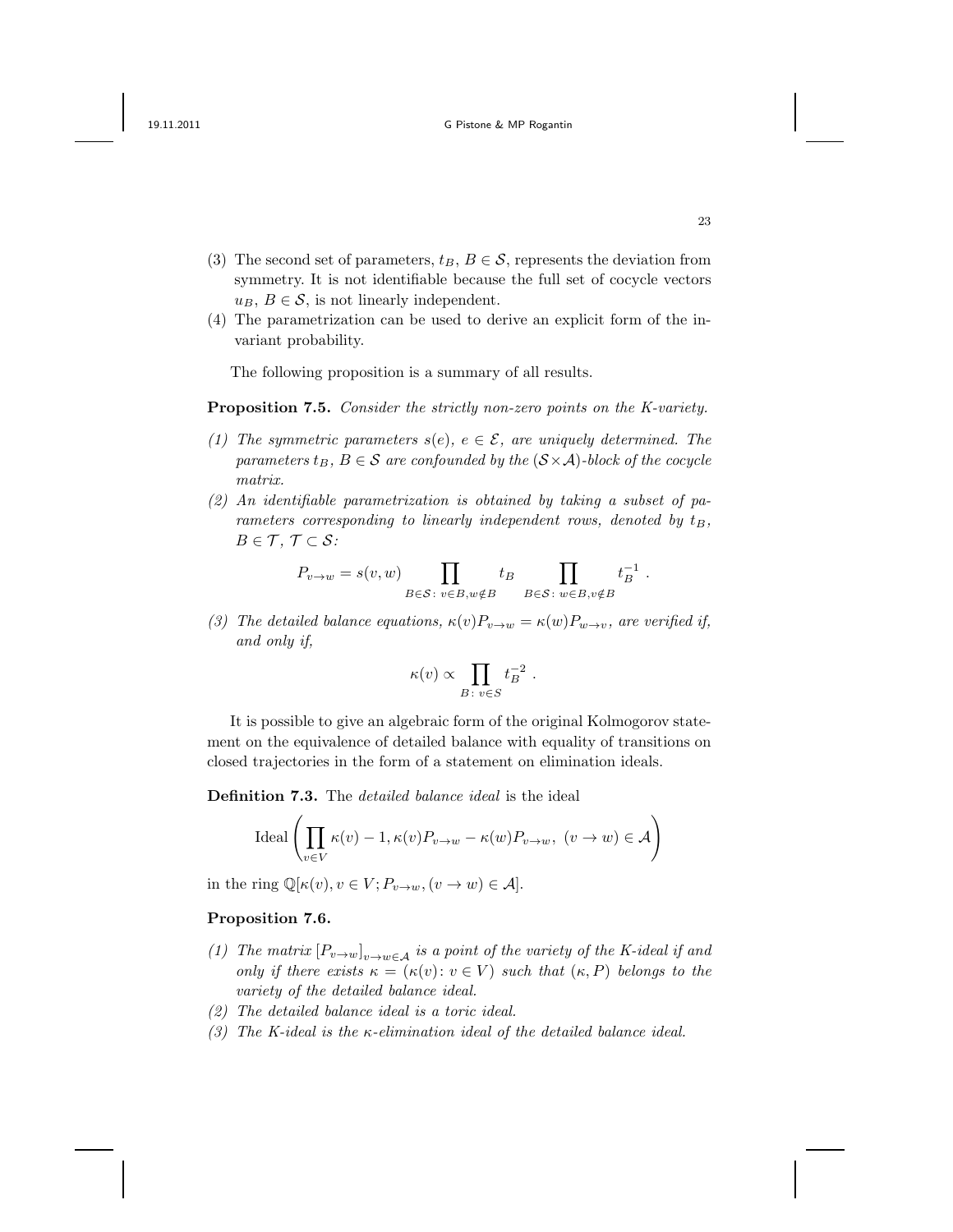- (3) The second set of parameters,  $t_B, B \in \mathcal{S}$ , represents the deviation from symmetry. It is not identifiable because the full set of cocycle vectors  $u_B, B \in \mathcal{S}$ , is not linearly independent.
- (4) The parametrization can be used to derive an explicit form of the invariant probability.

The following proposition is a summary of all results.

Proposition 7.5. Consider the strictly non-zero points on the K-variety.

- (1) The symmetric parameters  $s(e)$ ,  $e \in \mathcal{E}$ , are uniquely determined. The parameters  $t_B$ ,  $B \in \mathcal{S}$  are confounded by the  $(\mathcal{S} \times \mathcal{A})$ -block of the cocycle matrix.
- (2) An identifiable parametrization is obtained by taking a subset of parameters corresponding to linearly independent rows, denoted by  $t_B$ ,  $B \in \mathcal{T}, \mathcal{T} \subset \mathcal{S}$ :

$$
P_{v \to w} = s(v, w) \prod_{B \in \mathcal{S} : v \in B, w \notin B} t_B \prod_{B \in \mathcal{S} : w \in B, v \notin B} t_B^{-1}.
$$

(3) The detailed balance equations,  $\kappa(v)P_{v\to w} = \kappa(w)P_{w\to v}$ , are verified if, and only if,

$$
\kappa(v) \propto \prod_{B \colon v \in S} t_B^{-2} .
$$

It is possible to give an algebraic form of the original Kolmogorov statement on the equivalence of detailed balance with equality of transitions on closed trajectories in the form of a statement on elimination ideals.

Definition 7.3. The *detailed balance ideal* is the ideal

$$
\text{Ideal}\left(\prod_{v \in V} \kappa(v) - 1, \kappa(v)P_{v \to w} - \kappa(w)P_{v \to w}, \ (v \to w) \in \mathcal{A}\right)
$$

in the ring  $\mathbb{Q}[\kappa(v), v \in V; P_{v \to w}, (v \to w) \in \mathcal{A}].$ 

#### Proposition 7.6.

- (1) The matrix  $[P_{v\to w}]_{v\to w\in A}$  is a point of the variety of the K-ideal if and only if there exists  $\kappa = (\kappa(v): v \in V)$  such that  $(\kappa, P)$  belongs to the variety of the detailed balance ideal.
- (2) The detailed balance ideal is a toric ideal.
- (3) The K-ideal is the  $\kappa$ -elimination ideal of the detailed balance ideal.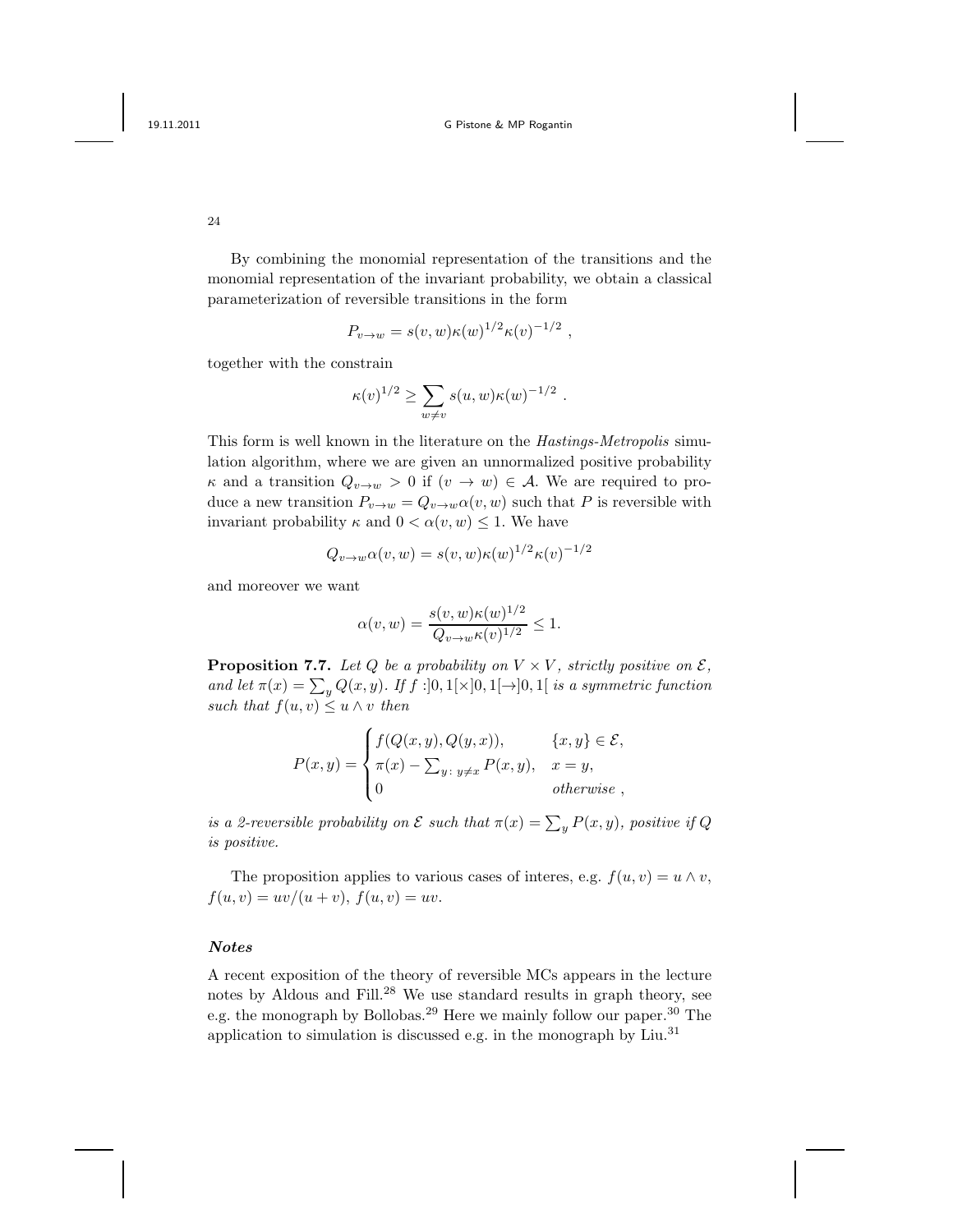24

By combining the monomial representation of the transitions and the monomial representation of the invariant probability, we obtain a classical parameterization of reversible transitions in the form

$$
P_{v \to w} = s(v, w) \kappa(w)^{1/2} \kappa(v)^{-1/2} ,
$$

together with the constrain

$$
\kappa(v)^{1/2} \ge \sum_{w \ne v} s(u, w) \kappa(w)^{-1/2}
$$

.

This form is well known in the literature on the Hastings-Metropolis simulation algorithm, where we are given an unnormalized positive probability  $\kappa$  and a transition  $Q_{v\to w} > 0$  if  $(v \to w) \in A$ . We are required to produce a new transition  $P_{v\to w} = Q_{v\to w} \alpha(v, w)$  such that P is reversible with invariant probability  $\kappa$  and  $0 < \alpha(v, w) \leq 1$ . We have

$$
Q_{v \to w} \alpha(v, w) = s(v, w) \kappa(w)^{1/2} \kappa(v)^{-1/2}
$$

and moreover we want

$$
\alpha(v, w) = \frac{s(v, w)\kappa(w)^{1/2}}{Q_{v \to w}\kappa(v)^{1/2}} \le 1.
$$

**Proposition 7.7.** Let Q be a probability on  $V \times V$ , strictly positive on  $\mathcal{E}$ , and let  $\pi(x) = \sum_{y} Q(x, y)$ . If  $f : ]0, 1[\times]0, 1[\rightarrow]0, 1[$  is a symmetric function such that  $f(u, v) \leq u \wedge v$  then

$$
P(x,y) = \begin{cases} f(Q(x,y), Q(y,x)), & \{x,y\} \in \mathcal{E}, \\ \pi(x) - \sum_{y:\ y \neq x} P(x,y), & x = y, \\ 0 & otherwise, \end{cases}
$$

is a 2-reversible probability on  $\mathcal E$  such that  $\pi(x) = \sum_{y} P(x, y)$ , positive if Q is positive.

The proposition applies to various cases of interes, e.g.  $f(u, v) = u \wedge v$ ,  $f(u, v) = uv/(u + v), f(u, v) = uv.$ 

### Notes

A recent exposition of the theory of reversible MCs appears in the lecture notes by Aldous and Fill.<sup>28</sup> We use standard results in graph theory, see e.g. the monograph by Bollobas.<sup>29</sup> Here we mainly follow our paper.<sup>30</sup> The application to simulation is discussed e.g. in the monograph by Liu.<sup>31</sup>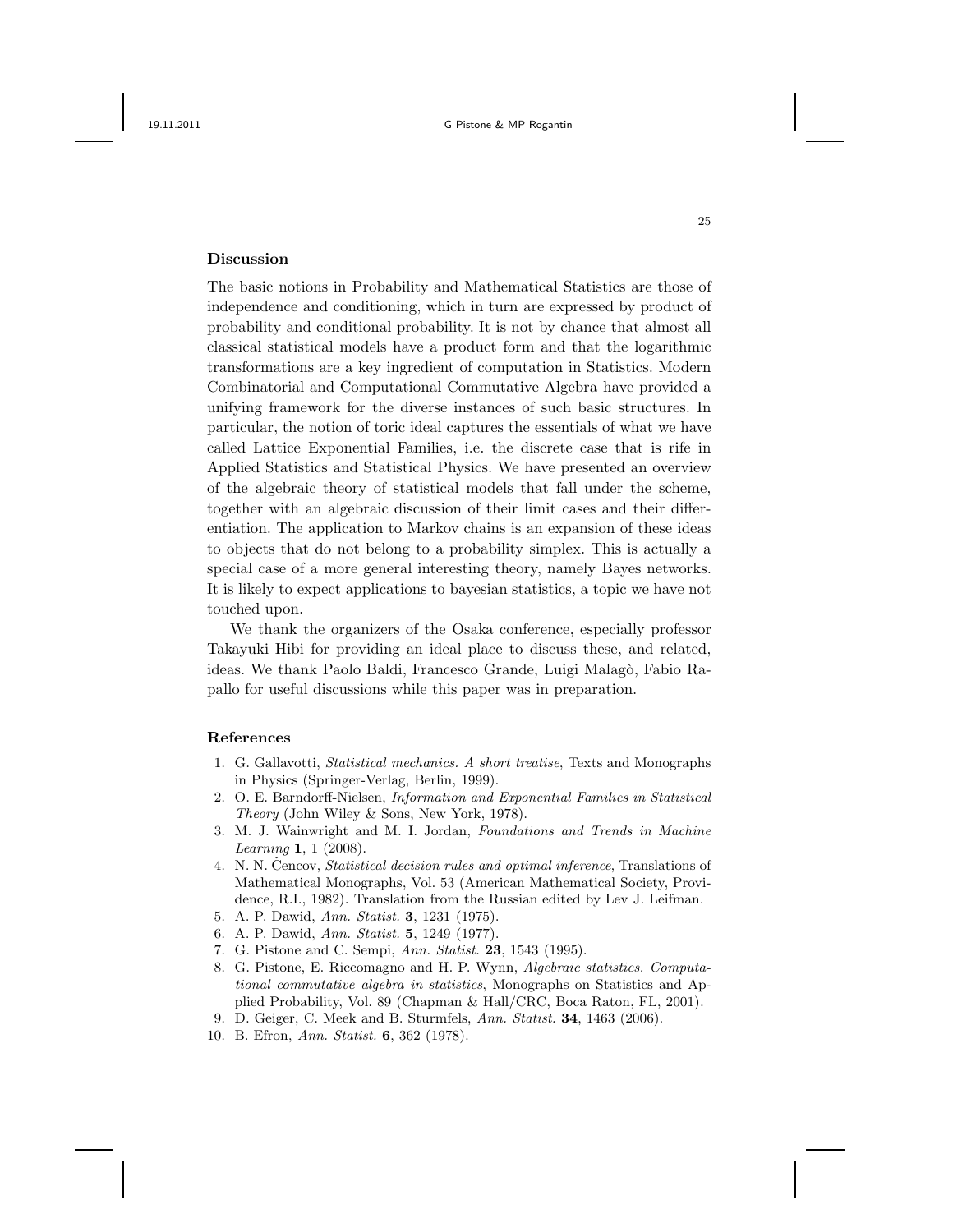## Discussion

The basic notions in Probability and Mathematical Statistics are those of independence and conditioning, which in turn are expressed by product of probability and conditional probability. It is not by chance that almost all classical statistical models have a product form and that the logarithmic transformations are a key ingredient of computation in Statistics. Modern Combinatorial and Computational Commutative Algebra have provided a unifying framework for the diverse instances of such basic structures. In particular, the notion of toric ideal captures the essentials of what we have called Lattice Exponential Families, i.e. the discrete case that is rife in Applied Statistics and Statistical Physics. We have presented an overview of the algebraic theory of statistical models that fall under the scheme, together with an algebraic discussion of their limit cases and their differentiation. The application to Markov chains is an expansion of these ideas to objects that do not belong to a probability simplex. This is actually a special case of a more general interesting theory, namely Bayes networks. It is likely to expect applications to bayesian statistics, a topic we have not touched upon.

We thank the organizers of the Osaka conference, especially professor Takayuki Hibi for providing an ideal place to discuss these, and related, ideas. We thank Paolo Baldi, Francesco Grande, Luigi Malagò, Fabio Rapallo for useful discussions while this paper was in preparation.

#### References

- 1. G. Gallavotti, Statistical mechanics. A short treatise, Texts and Monographs in Physics (Springer-Verlag, Berlin, 1999).
- 2. O. E. Barndorff-Nielsen, Information and Exponential Families in Statistical Theory (John Wiley & Sons, New York, 1978).
- 3. M. J. Wainwright and M. I. Jordan, Foundations and Trends in Machine Learning 1, 1 (2008).
- 4. N. N. Cencov, *Statistical decision rules and optimal inference*, Translations of Mathematical Monographs, Vol. 53 (American Mathematical Society, Providence, R.I., 1982). Translation from the Russian edited by Lev J. Leifman.
- 5. A. P. Dawid, Ann. Statist. 3, 1231 (1975).
- 6. A. P. Dawid, Ann. Statist. 5, 1249 (1977).
- 7. G. Pistone and C. Sempi, Ann. Statist. 23, 1543 (1995).
- 8. G. Pistone, E. Riccomagno and H. P. Wynn, Algebraic statistics. Computational commutative algebra in statistics, Monographs on Statistics and Applied Probability, Vol. 89 (Chapman & Hall/CRC, Boca Raton, FL, 2001).
- 9. D. Geiger, C. Meek and B. Sturmfels, Ann. Statist. 34, 1463 (2006).
- 10. B. Efron, Ann. Statist. 6, 362 (1978).